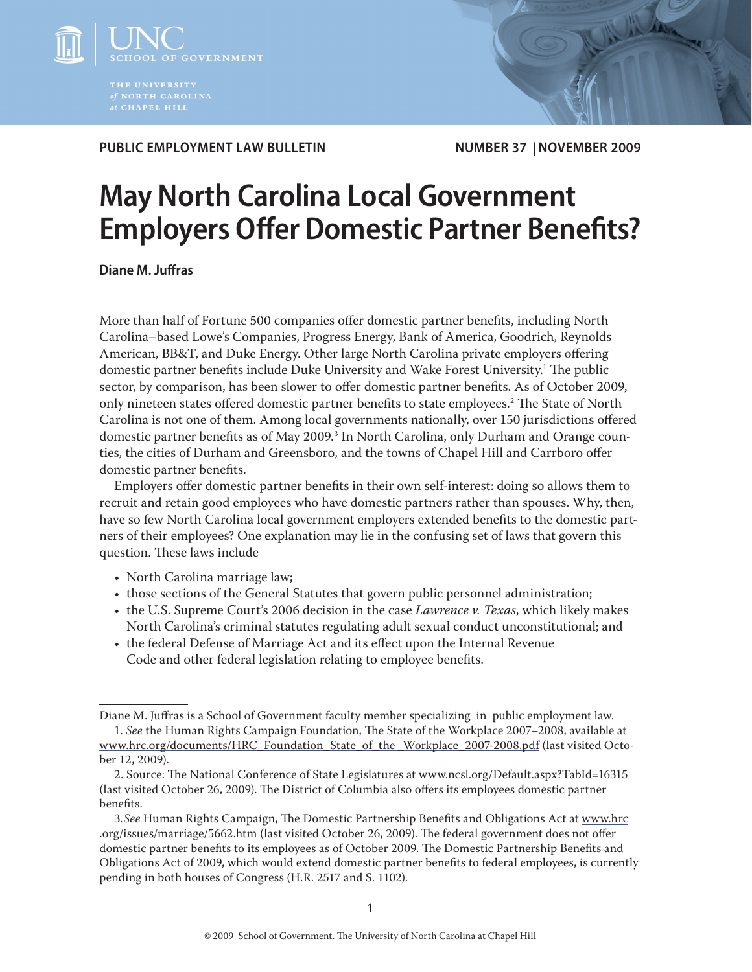

**PUBLIC EMPLOYMENT LAW BULLETIN NUMBER 37 | NOVEMBER 2009**

# **May North Carolina Local Government Employers Offer Domestic Partner Benefits?**

**Diane M. Juffras** 

More than half of Fortune 500 companies offer domestic partner benefits, including North Carolina–based Lowe's Companies, Progress Energy, Bank of America, Goodrich, Reynolds American, BB&T, and Duke Energy. Other large North Carolina private employers offering domestic partner benefits include Duke University and Wake Forest University.<sup>1</sup> The public sector, by comparison, has been slower to offer domestic partner benefits. As of October 2009, only nineteen states offered domestic partner benefits to state employees.<sup>2</sup> The State of North Carolina is not one of them. Among local governments nationally, over 150 jurisdictions offered domestic partner benefits as of May 2009.<sup>3</sup> In North Carolina, only Durham and Orange counties, the cities of Durham and Greensboro, and the towns of Chapel Hill and Carrboro offer domestic partner benefits.

Employers offer domestic partner benefits in their own self-interest: doing so allows them to recruit and retain good employees who have domestic partners rather than spouses. Why, then, have so few North Carolina local government employers extended benefits to the domestic partners of their employees? One explanation may lie in the confusing set of laws that govern this question. These laws include

- North Carolina marriage law;
- those sections of the General Statutes that govern public personnel administration;
- the U.S. Supreme Court's 2006 decision in the case *Lawrence v. Texas*, which likely makes North Carolina's criminal statutes regulating adult sexual conduct unconstitutional; and
- the federal Defense of Marriage Act and its effect upon the Internal Revenue Code and other federal legislation relating to employee benefits.

Diane M. Juffras is a School of Government faculty member specializing in public employment law. 1. *See* the Human Rights Campaign Foundation, The State of the Workplace 2007–2008, available at

www.hrc.org/documents/HRC\_Foundation\_State\_of\_the \_Workplace\_2007-2008.pdf (last visited October 12, 2009).

<sup>2.</sup> Source: The National Conference of State Legislatures at www.ncsl.org/Default.aspx?TabId=16315 (last visited October 26, 2009). The District of Columbia also offers its employees domestic partner benefits.

<sup>3.</sup>See Human Rights Campaign, The Domestic Partnership Benefits and Obligations Act at www.hrc .org/issues/marriage/5662.htm (last visited October 26, 2009). The federal government does not offer domestic partner benefits to its employees as of October 2009. The Domestic Partnership Benefits and Obligations Act of 2009, which would extend domestic partner benefits to federal employees, is currently pending in both houses of Congress (H.R. 2517 and S. 1102).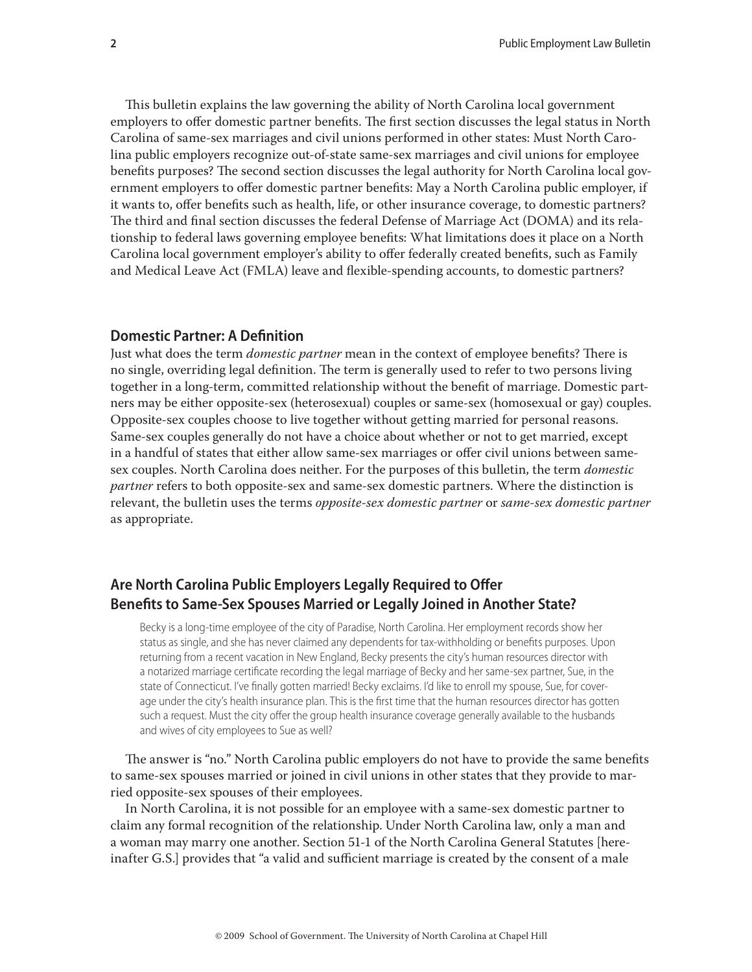This bulletin explains the law governing the ability of North Carolina local government employers to offer domestic partner benefits. The first section discusses the legal status in North Carolina of same-sex marriages and civil unions performed in other states: Must North Carolina public employers recognize out-of-state same-sex marriages and civil unions for employee benefits purposes? The second section discusses the legal authority for North Carolina local government employers to offer domestic partner benefits: May a North Carolina public employer, if it wants to, offer benefits such as health, life, or other insurance coverage, to domestic partners? The third and final section discusses the federal Defense of Marriage Act (DOMA) and its relationship to federal laws governing employee benefits: What limitations does it place on a North Carolina local government employer's ability to offer federally created benefits, such as Family and Medical Leave Act (FMLA) leave and flexible-spending accounts, to domestic partners?

#### **Domestic Partner: A Definition**

Just what does the term *domestic partner* mean in the context of employee benefits? There is no single, overriding legal definition. The term is generally used to refer to two persons living together in a long-term, committed relationship without the benefit of marriage. Domestic partners may be either opposite-sex (heterosexual) couples or same-sex (homosexual or gay) couples. Opposite-sex couples choose to live together without getting married for personal reasons. Same-sex couples generally do not have a choice about whether or not to get married, except in a handful of states that either allow same-sex marriages or offer civil unions between samesex couples. North Carolina does neither. For the purposes of this bulletin, the term *domestic partner* refers to both opposite-sex and same-sex domestic partners. Where the distinction is relevant, the bulletin uses the terms *opposite-sex domestic partner* or *same-sex domestic partner* as appropriate.

# **Are North Carolina Public Employers Legally Required to Offer Benefits to Same-Sex Spouses Married or Legally Joined in Another State?**

Becky is a long-time employee of the city of Paradise, North Carolina. Her employment records show her status as single, and she has never claimed any dependents for tax-withholding or benefits purposes. Upon returning from a recent vacation in New England, Becky presents the city's human resources director with a notarized marriage certificate recording the legal marriage of Becky and her same-sex partner, Sue, in the state of Connecticut. I've finally gotten married! Becky exclaims. I'd like to enroll my spouse, Sue, for coverage under the city's health insurance plan. This is the first time that the human resources director has gotten such a request. Must the city offer the group health insurance coverage generally available to the husbands and wives of city employees to Sue as well?

The answer is "no." North Carolina public employers do not have to provide the same benefits to same-sex spouses married or joined in civil unions in other states that they provide to married opposite-sex spouses of their employees.

In North Carolina, it is not possible for an employee with a same-sex domestic partner to claim any formal recognition of the relationship. Under North Carolina law, only a man and a woman may marry one another. Section 51-1 of the North Carolina General Statutes [hereinafter G.S.] provides that "a valid and sufficient marriage is created by the consent of a male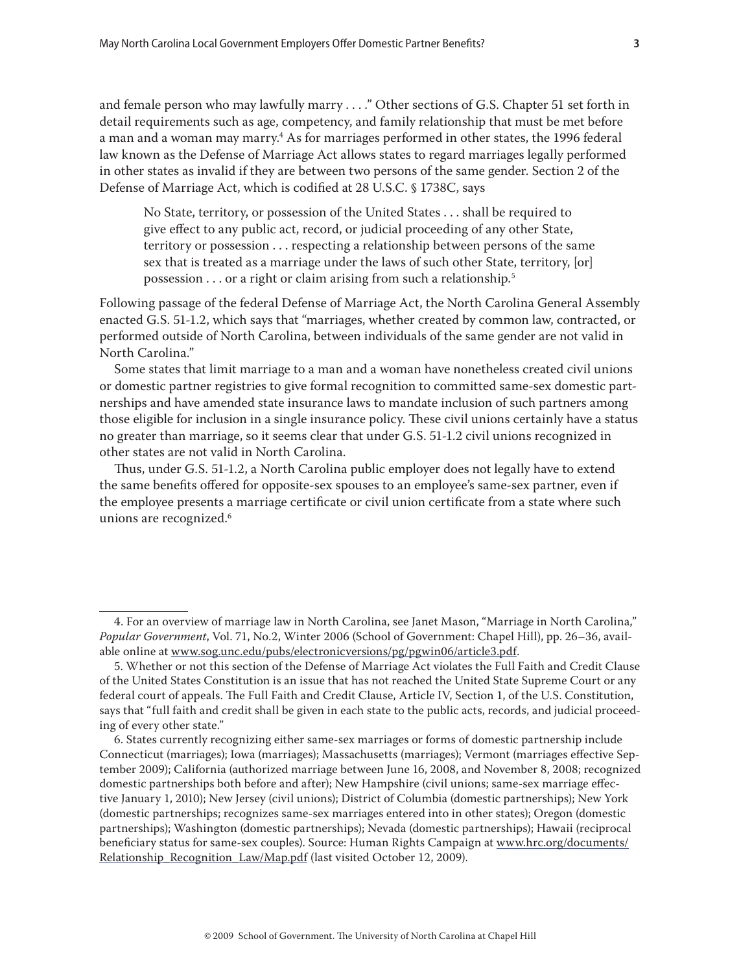and female person who may lawfully marry . . . ." Other sections of G.S. Chapter 51 set forth in detail requirements such as age, competency, and family relationship that must be met before a man and a woman may marry.<sup>4</sup> As for marriages performed in other states, the 1996 federal law known as the Defense of Marriage Act allows states to regard marriages legally performed in other states as invalid if they are between two persons of the same gender. Section 2 of the Defense of Marriage Act, which is codified at 28 U.S.C. § 1738C, says

No State, territory, or possession of the United States . . . shall be required to give effect to any public act, record, or judicial proceeding of any other State, territory or possession . . . respecting a relationship between persons of the same sex that is treated as a marriage under the laws of such other State, territory, [or] possession . . . or a right or claim arising from such a relationship.5

Following passage of the federal Defense of Marriage Act, the North Carolina General Assembly enacted G.S. 51-1.2, which says that "marriages, whether created by common law, contracted, or performed outside of North Carolina, between individuals of the same gender are not valid in North Carolina."

Some states that limit marriage to a man and a woman have nonetheless created civil unions or domestic partner registries to give formal recognition to committed same-sex domestic partnerships and have amended state insurance laws to mandate inclusion of such partners among those eligible for inclusion in a single insurance policy. These civil unions certainly have a status no greater than marriage, so it seems clear that under G.S. 51-1.2 civil unions recognized in other states are not valid in North Carolina.

Thus, under G.S. 51-1.2, a North Carolina public employer does not legally have to extend the same benefits offered for opposite-sex spouses to an employee's same-sex partner, even if the employee presents a marriage certificate or civil union certificate from a state where such unions are recognized.<sup>6</sup>

<sup>4.</sup> For an overview of marriage law in North Carolina, see Janet Mason, "Marriage in North Carolina," *Popular Government*, Vol. 71, No.2, Winter 2006 (School of Government: Chapel Hill), pp. 26–36, available online at www.sog.unc.edu/pubs/electronicversions/pg/pgwin06/article3.pdf.

<sup>5.</sup> Whether or not this section of the Defense of Marriage Act violates the Full Faith and Credit Clause of the United States Constitution is an issue that has not reached the United State Supreme Court or any federal court of appeals. The Full Faith and Credit Clause, Article IV, Section 1, of the U.S. Constitution, says that "full faith and credit shall be given in each state to the public acts, records, and judicial proceeding of every other state."

<sup>6.</sup> States currently recognizing either same-sex marriages or forms of domestic partnership include Connecticut (marriages); Iowa (marriages); Massachusetts (marriages); Vermont (marriages effective September 2009); California (authorized marriage between June 16, 2008, and November 8, 2008; recognized domestic partnerships both before and after); New Hampshire (civil unions; same-sex marriage effective January 1, 2010); New Jersey (civil unions); District of Columbia (domestic partnerships); New York (domestic partnerships; recognizes same-sex marriages entered into in other states); Oregon (domestic partnerships); Washington (domestic partnerships); Nevada (domestic partnerships); Hawaii (reciprocal beneficiary status for same-sex couples). Source: Human Rights Campaign at www.hrc.org/documents/ Relationship\_Recognition\_Law/Map.pdf (last visited October 12, 2009).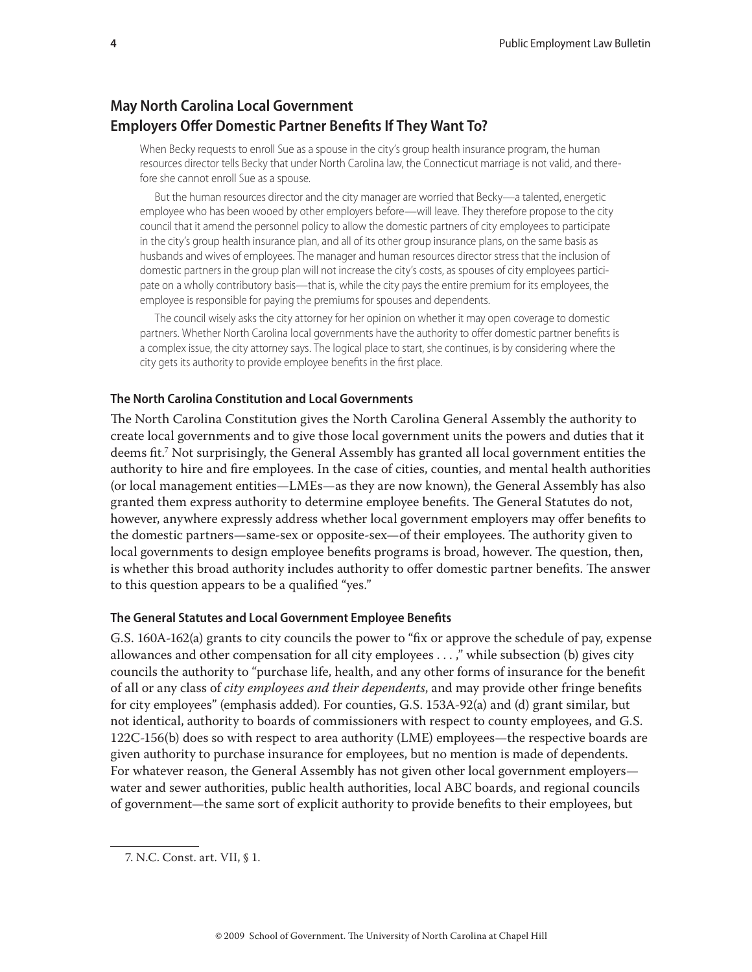# **May North Carolina Local Government Employers Offer Domestic Partner Benefits If They Want To?**

When Becky requests to enroll Sue as a spouse in the city's group health insurance program, the human resources director tells Becky that under North Carolina law, the Connecticut marriage is not valid, and therefore she cannot enroll Sue as a spouse.

But the human resources director and the city manager are worried that Becky—a talented, energetic employee who has been wooed by other employers before—will leave. They therefore propose to the city council that it amend the personnel policy to allow the domestic partners of city employees to participate in the city's group health insurance plan, and all of its other group insurance plans, on the same basis as husbands and wives of employees. The manager and human resources director stress that the inclusion of domestic partners in the group plan will not increase the city's costs, as spouses of city employees participate on a wholly contributory basis—that is, while the city pays the entire premium for its employees, the employee is responsible for paying the premiums for spouses and dependents.

The council wisely asks the city attorney for her opinion on whether it may open coverage to domestic partners. Whether North Carolina local governments have the authority to offer domestic partner benefits is a complex issue, the city attorney says. The logical place to start, she continues, is by considering where the city gets its authority to provide employee benefits in the first place.

#### **The North Carolina Constitution and Local Governments**

The North Carolina Constitution gives the North Carolina General Assembly the authority to create local governments and to give those local government units the powers and duties that it deems fit.<sup>7</sup> Not surprisingly, the General Assembly has granted all local government entities the authority to hire and fire employees. In the case of cities, counties, and mental health authorities (or local management entities—LMEs—as they are now known), the General Assembly has also granted them express authority to determine employee benefits. The General Statutes do not, however, anywhere expressly address whether local government employers may offer benefits to the domestic partners—same-sex or opposite-sex—of their employees. The authority given to local governments to design employee benefits programs is broad, however. The question, then, is whether this broad authority includes authority to offer domestic partner benefits. The answer to this question appears to be a qualified "yes."

#### **The General Statutes and Local Government Employee Benefits**

G.S. 160A-162(a) grants to city councils the power to "fix or approve the schedule of pay, expense allowances and other compensation for all city employees . . . ," while subsection (b) gives city councils the authority to "purchase life, health, and any other forms of insurance for the benefit of all or any class of *city employees and their dependents*, and may provide other fringe benefits for city employees" (emphasis added). For counties, G.S. 153A-92(a) and (d) grant similar, but not identical, authority to boards of commissioners with respect to county employees, and G.S. 122C-156(b) does so with respect to area authority (LME) employees—the respective boards are given authority to purchase insurance for employees, but no mention is made of dependents. For whatever reason, the General Assembly has not given other local government employers water and sewer authorities, public health authorities, local ABC boards, and regional councils of government—the same sort of explicit authority to provide benefits to their employees, but

<sup>7.</sup> N.C. Const. art. VII, § 1.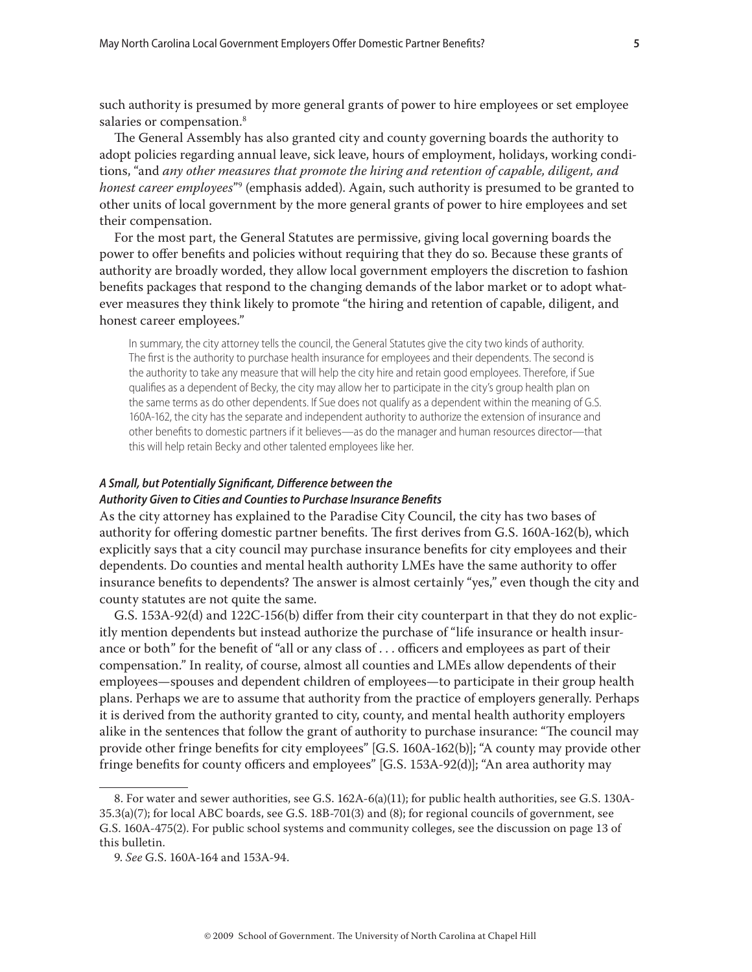such authority is presumed by more general grants of power to hire employees or set employee salaries or compensation.<sup>8</sup>

The General Assembly has also granted city and county governing boards the authority to adopt policies regarding annual leave, sick leave, hours of employment, holidays, working conditions, "and *any other measures that promote the hiring and retention of capable, diligent, and honest career employees*"9 (emphasis added). Again, such authority is presumed to be granted to other units of local government by the more general grants of power to hire employees and set their compensation.

For the most part, the General Statutes are permissive, giving local governing boards the power to offer benefits and policies without requiring that they do so. Because these grants of authority are broadly worded, they allow local government employers the discretion to fashion benefits packages that respond to the changing demands of the labor market or to adopt whatever measures they think likely to promote "the hiring and retention of capable, diligent, and honest career employees."

In summary, the city attorney tells the council, the General Statutes give the city two kinds of authority. The first is the authority to purchase health insurance for employees and their dependents. The second is the authority to take any measure that will help the city hire and retain good employees. Therefore, if Sue qualifies as a dependent of Becky, the city may allow her to participate in the city's group health plan on the same terms as do other dependents. If Sue does not qualify as a dependent within the meaning of G.S. 160A-162, the city has the separate and independent authority to authorize the extension of insurance and other benefits to domestic partners if it believes—as do the manager and human resources director—that this will help retain Becky and other talented employees like her.

#### A Small, but Potentially Significant, Difference between the

#### *Authority Given to Cities and Counties to Purchase Insurance Benefi ts*

As the city attorney has explained to the Paradise City Council, the city has two bases of authority for offering domestic partner benefits. The first derives from G.S. 160A-162(b), which explicitly says that a city council may purchase insurance benefits for city employees and their dependents. Do counties and mental health authority LMEs have the same authority to offer insurance benefits to dependents? The answer is almost certainly "yes," even though the city and county statutes are not quite the same.

G.S. 153A-92(d) and 122C-156(b) differ from their city counterpart in that they do not explicitly mention dependents but instead authorize the purchase of "life insurance or health insurance or both" for the benefit of "all or any class of  $\ldots$  officers and employees as part of their compensation." In reality, of course, almost all counties and LMEs allow dependents of their employees—spouses and dependent children of employees—to participate in their group health plans. Perhaps we are to assume that authority from the practice of employers generally. Perhaps it is derived from the authority granted to city, county, and mental health authority employers alike in the sentences that follow the grant of authority to purchase insurance: "The council may provide other fringe benefits for city employees" [G.S. 160A-162(b)]; "A county may provide other fringe benefits for county officers and employees"  $[G.S. 153A-92(d)]$ ; "An area authority may

<sup>8.</sup> For water and sewer authorities, see G.S. 162A-6(a)(11); for public health authorities, see G.S. 130A-35.3(a)(7); for local ABC boards, see G.S. 18B-701(3) and (8); for regional councils of government, see G.S. 160A-475(2). For public school systems and community colleges, see the discussion on page 13 of this bulletin.

<sup>9.</sup> *See* G.S. 160A-164 and 153A-94.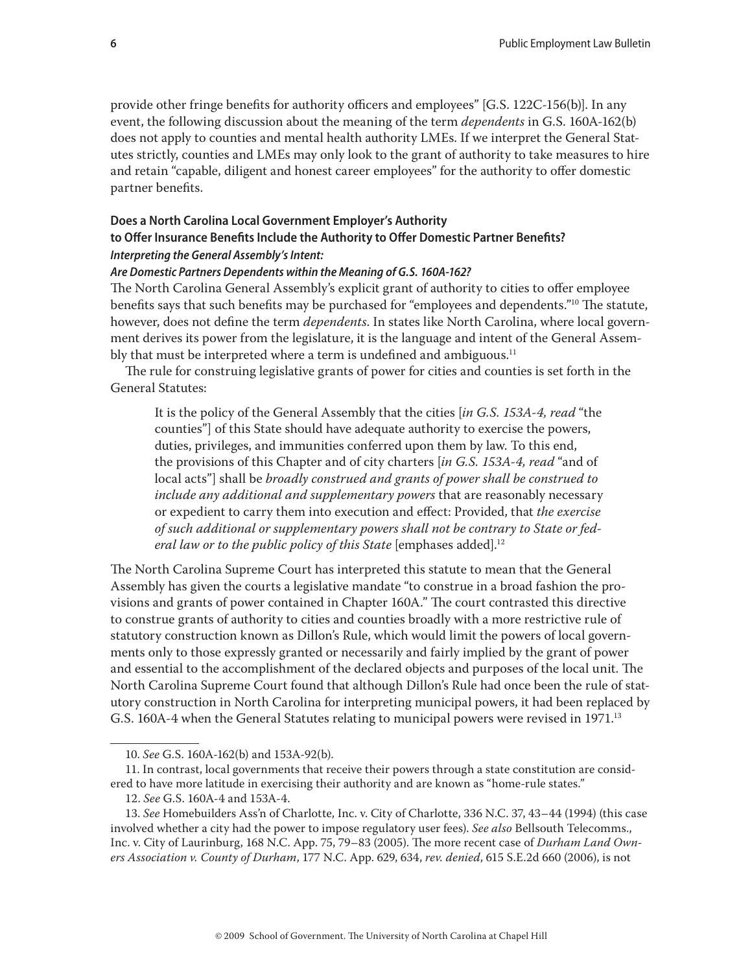provide other fringe benefits for authority officers and employees" [G.S. 122C-156(b)]. In any event, the following discussion about the meaning of the term *dependents* in G.S. 160A-162(b) does not apply to counties and mental health authority LMEs. If we interpret the General Statutes strictly, counties and LMEs may only look to the grant of authority to take measures to hire and retain "capable, diligent and honest career employees" for the authority to offer domestic partner benefits.

## **Does a North Carolina Local Government Employer's Authority**

## to Offer Insurance Benefits Include the Authority to Offer Domestic Partner Benefits? *Interpreting the General Assembly's Intent:*

#### *Are Domestic Partners Dependents within the Meaning of G.S. 160A-162?*

The North Carolina General Assembly's explicit grant of authority to cities to offer employee benefits says that such benefits may be purchased for "employees and dependents."<sup>10</sup> The statute, however, does not define the term *dependents*. In states like North Carolina, where local government derives its power from the legislature, it is the language and intent of the General Assembly that must be interpreted where a term is undefined and ambiguous. $11$ 

The rule for construing legislative grants of power for cities and counties is set forth in the General Statutes:

It is the policy of the General Assembly that the cities [*in G.S. 153A-4, read* "the counties"] of this State should have adequate authority to exercise the powers, duties, privileges, and immunities conferred upon them by law. To this end, the provisions of this Chapter and of city charters [*in G.S. 153A-4, read* "and of local acts"] shall be *broadly construed and grants of power shall be construed to include any additional and supplementary powers* that are reasonably necessary or expedient to carry them into execution and effect: Provided, that *the exercise of such additional or supplementary powers shall not be contrary to State or federal law or to the public policy of this State* [emphases added].<sup>12</sup>

The North Carolina Supreme Court has interpreted this statute to mean that the General Assembly has given the courts a legislative mandate "to construe in a broad fashion the provisions and grants of power contained in Chapter 160A." The court contrasted this directive to construe grants of authority to cities and counties broadly with a more restrictive rule of statutory construction known as Dillon's Rule, which would limit the powers of local governments only to those expressly granted or necessarily and fairly implied by the grant of power and essential to the accomplishment of the declared objects and purposes of the local unit. The North Carolina Supreme Court found that although Dillon's Rule had once been the rule of statutory construction in North Carolina for interpreting municipal powers, it had been replaced by G.S. 160A-4 when the General Statutes relating to municipal powers were revised in 1971.<sup>13</sup>

<sup>10.</sup> *See* G.S. 160A-162(b) and 153A-92(b).

<sup>11.</sup> In contrast, local governments that receive their powers through a state constitution are considered to have more latitude in exercising their authority and are known as "home-rule states."

<sup>12.</sup> *See* G.S. 160A-4 and 153A-4.

<sup>13.</sup> *See* Homebuilders Ass'n of Charlotte, Inc. v. City of Charlotte, 336 N.C. 37, 43–44 (1994) (this case involved whether a city had the power to impose regulatory user fees). *See also* Bellsouth Telecomms., Inc. v. City of Laurinburg, 168 N.C. App. 75, 79-83 (2005). The more recent case of *Durham Land Owners Association v. County of Durham*, 177 N.C. App. 629, 634, *rev. denied*, 615 S.E.2d 660 (2006), is not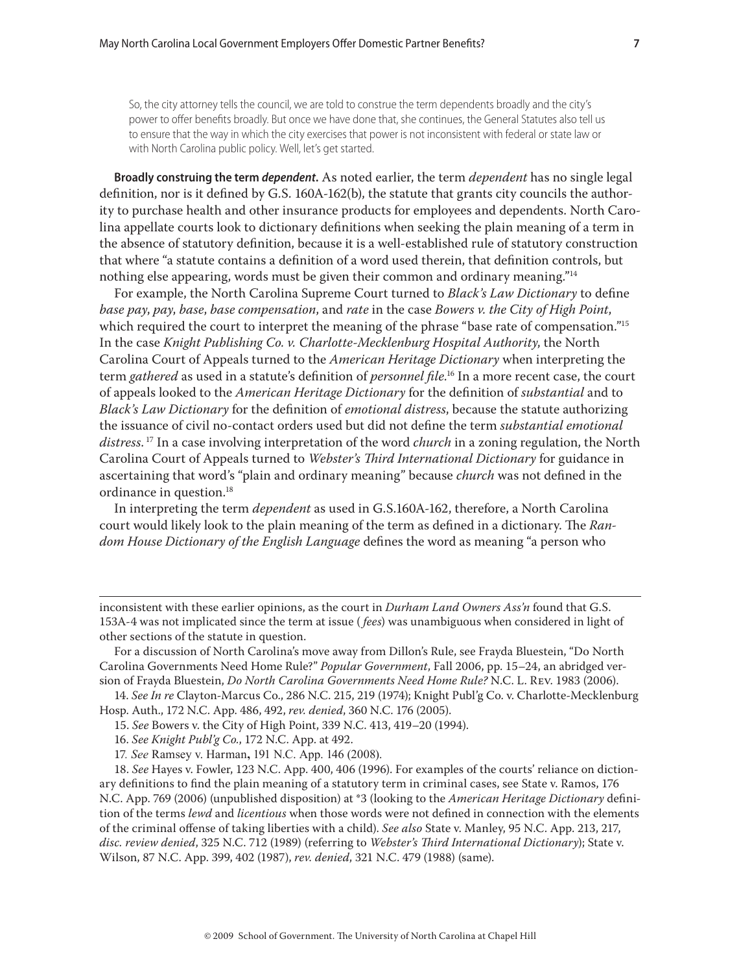So, the city attorney tells the council, we are told to construe the term dependents broadly and the city's power to offer benefits broadly. But once we have done that, she continues, the General Statutes also tell us to ensure that the way in which the city exercises that power is not inconsistent with federal or state law or with North Carolina public policy. Well, let's get started.

**Broadly construing the term** *dependent***.** As noted earlier, the term *dependent* has no single legal definition, nor is it defined by G.S. 160A-162(b), the statute that grants city councils the authority to purchase health and other insurance products for employees and dependents. North Carolina appellate courts look to dictionary definitions when seeking the plain meaning of a term in the absence of statutory definition, because it is a well-established rule of statutory construction that where "a statute contains a definition of a word used therein, that definition controls, but nothing else appearing, words must be given their common and ordinary meaning."<sup>14</sup>

For example, the North Carolina Supreme Court turned to *Black's Law Dictionary* to define *base pay*, *pay*, *base*, *base compensation*, and *rate* in the case *Bowers v. the City of High Point*, which required the court to interpret the meaning of the phrase "base rate of compensation."<sup>15</sup> In the case *Knight Publishing Co. v. Charlotte-Mecklenburg Hospital Authority*, the North Carolina Court of Appeals turned to the *American Heritage Dictionary* when interpreting the term *gathered* as used in a statute's definition of *personnel file*.<sup>16</sup> In a more recent case, the court of appeals looked to the *American Heritage Dictionary* for the definition of *substantial* and to *Black's Law Dictionary* for the definition of *emotional distress*, because the statute authorizing the issuance of civil no-contact orders used but did not define the term *substantial emotional distress*. 17 In a case involving interpretation of the word *church* in a zoning regulation, the North Carolina Court of Appeals turned to *Webster's Third International Dictionary* for guidance in ascertaining that word's "plain and ordinary meaning" because *church* was not defined in the ordinance in question.<sup>18</sup>

In interpreting the term *dependent* as used in G.S.160A-162, therefore, a North Carolina court would likely look to the plain meaning of the term as defined in a dictionary. The *Random House Dictionary of the English Language* defines the word as meaning "a person who

inconsistent with these earlier opinions, as the court in *Durham Land Owners Ass'n* found that G.S. 153A-4 was not implicated since the term at issue ( *fees*) was unambiguous when considered in light of other sections of the statute in question.

For a discussion of North Carolina's move away from Dillon's Rule, see Frayda Bluestein, "Do North Carolina Governments Need Home Rule?" *Popular Government*, Fall 2006, pp. 15–24, an abridged version of Frayda Bluestein, *Do North Carolina Governments Need Home Rule?* N.C. L. Rev. 1983 (2006).

14. *See In re* Clayton-Marcus Co., 286 N.C. 215, 219 (1974); Knight Publ'g Co. v. Charlotte-Mecklenburg Hosp. Auth., 172 N.C. App. 486, 492, *rev. denied*, 360 N.C. 176 (2005).

15. *See* Bowers v. the City of High Point, 339 N.C. 413, 419–20 (1994).

16. *See Knight Publ'g Co.*, 172 N.C. App. at 492.

17*. See* Ramsey v. Harman**,** 191 N.C. App. 146 (2008).

18. *See* Hayes v. Fowler, 123 N.C. App. 400, 406 (1996). For examples of the courts' reliance on dictionary definitions to find the plain meaning of a statutory term in criminal cases, see State v. Ramos, 176 N.C. App. 769 (2006) (unpublished disposition) at \*3 (looking to the *American Heritage Dictionary* definition of the terms *lewd* and *licentious* when those words were not defined in connection with the elements of the criminal offense of taking liberties with a child). *See also* State v. Manley, 95 N.C. App. 213, 217, *disc. review denied*, 325 N.C. 712 (1989) (referring to *Webster's Th ird International Dictionary*); State v. Wilson, 87 N.C. App. 399, 402 (1987), *rev. denied*, 321 N.C. 479 (1988) (same).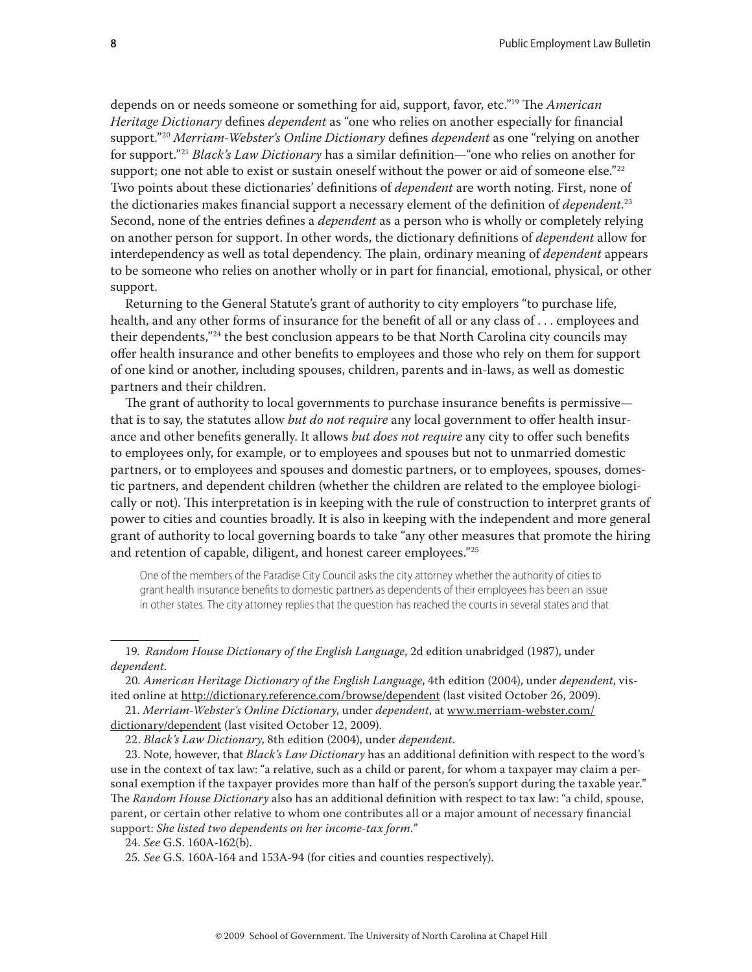depends on or needs someone or something for aid, support, favor, etc.<sup>"19</sup> The *American Heritage Dictionary* defines *dependent* as "one who relies on another especially for financial support."<sup>20</sup> Merriam-Webster's Online Dictionary defines *dependent* as one "relying on another for support."<sup>21</sup> *Black's Law Dictionary* has a similar definition—"one who relies on another for support; one not able to exist or sustain oneself without the power or aid of someone else." $22$ Two points about these dictionaries' definitions of *dependent* are worth noting. First, none of the dictionaries makes financial support a necessary element of the definition of *dependent*.<sup>23</sup> Second, none of the entries defines a *dependent* as a person who is wholly or completely relying on another person for support. In other words, the dictionary definitions of *dependent* allow for interdependency as well as total dependency. The plain, ordinary meaning of *dependent* appears to be someone who relies on another wholly or in part for financial, emotional, physical, or other support.

Returning to the General Statute's grant of authority to city employers "to purchase life, health, and any other forms of insurance for the benefit of all or any class of ... employees and their dependents,"24 the best conclusion appears to be that North Carolina city councils may offer health insurance and other benefits to employees and those who rely on them for support of one kind or another, including spouses, children, parents and in-laws, as well as domestic partners and their children.

The grant of authority to local governments to purchase insurance benefits is permissive that is to say, the statutes allow *but do not require* any local government to offer health insurance and other benefits generally. It allows *but does not require* any city to offer such benefits to employees only, for example, or to employees and spouses but not to unmarried domestic partners, or to employees and spouses and domestic partners, or to employees, spouses, domestic partners, and dependent children (whether the children are related to the employee biologically or not). This interpretation is in keeping with the rule of construction to interpret grants of power to cities and counties broadly. It is also in keeping with the independent and more general grant of authority to local governing boards to take "any other measures that promote the hiring and retention of capable, diligent, and honest career employees."<sup>25</sup>

One of the members of the Paradise City Council asks the city attorney whether the authority of cities to grant health insurance benefits to domestic partners as dependents of their employees has been an issue in other states. The city attorney replies that the question has reached the courts in several states and that

21. *Merriam-Webster's Online Dictionary*, under *dependent*, at www.merriam-webster.com/ dictionary/dependent (last visited October 12, 2009).

<sup>19.</sup> *Random House Dictionary of the English Language*, 2d edition unabridged (1987), under *dependent*.

<sup>20</sup>*. American Heritage Dictionary of the English Language*, 4th edition (2004), under *dependent*, visited online at http://dictionary.reference.com/browse/dependent (last visited October 26, 2009).

<sup>22.</sup> *Black's Law Dictionary*, 8th edition (2004), under *dependent*.

<sup>23.</sup> Note, however, that *Black's Law Dictionary* has an additional definition with respect to the word's use in the context of tax law: "a relative, such as a child or parent, for whom a taxpayer may claim a personal exemption if the taxpayer provides more than half of the person's support during the taxable year." The *Random House Dictionary* also has an additional definition with respect to tax law: "a child, spouse, parent, or certain other relative to whom one contributes all or a major amount of necessary financial support: *She listed two dependents on her income-tax form."*

<sup>24.</sup> *See* G.S. 160A-162(b).

<sup>25</sup>*. See* G.S. 160A-164 and 153A-94 (for cities and counties respectively).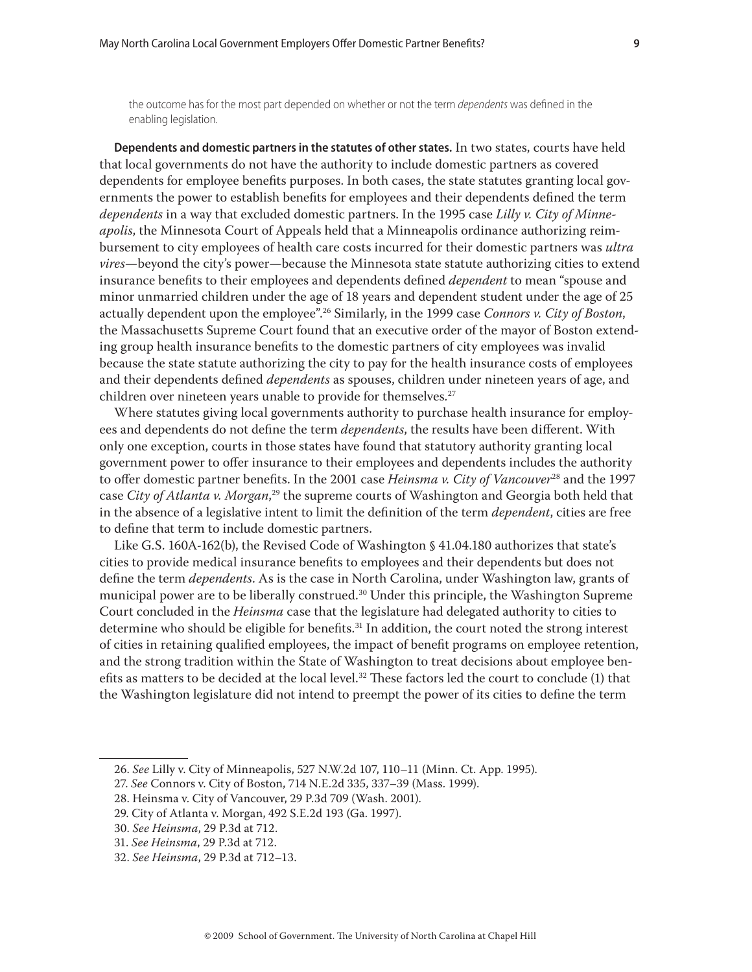the outcome has for the most part depended on whether or not the term dependents was defined in the enabling legislation.

**Dependents and domestic partners in the statutes of other states.** In two states, courts have held that local governments do not have the authority to include domestic partners as covered dependents for employee benefits purposes. In both cases, the state statutes granting local governments the power to establish benefits for employees and their dependents defined the term *dependents* in a way that excluded domestic partners. In the 1995 case *Lilly v. City of Minneapolis*, the Minnesota Court of Appeals held that a Minneapolis ordinance authorizing reimbursement to city employees of health care costs incurred for their domestic partners was *ultra vires*—beyond the city's power—because the Minnesota state statute authorizing cities to extend insurance benefits to their employees and dependents defined *dependent* to mean "spouse and minor unmarried children under the age of 18 years and dependent student under the age of 25 actually dependent upon the employee".26 Similarly, in the 1999 case *Connors v. City of Boston*, the Massachusetts Supreme Court found that an executive order of the mayor of Boston extending group health insurance benefits to the domestic partners of city employees was invalid because the state statute authorizing the city to pay for the health insurance costs of employees and their dependents defined *dependents* as spouses, children under nineteen years of age, and children over nineteen years unable to provide for themselves.<sup>27</sup>

Where statutes giving local governments authority to purchase health insurance for employees and dependents do not define the term *dependents*, the results have been different. With only one exception, courts in those states have found that statutory authority granting local government power to offer insurance to their employees and dependents includes the authority to offer domestic partner benefits. In the 2001 case *Heinsma v. City of Vancouver*<sup>28</sup> and the 1997 case *City of Atlanta v. Morgan*, 29 the supreme courts of Washington and Georgia both held that in the absence of a legislative intent to limit the definition of the term *dependent*, cities are free to define that term to include domestic partners.

Like G.S. 160A-162(b), the Revised Code of Washington § 41.04.180 authorizes that state's cities to provide medical insurance benefits to employees and their dependents but does not define the term *dependents*. As is the case in North Carolina, under Washington law, grants of municipal power are to be liberally construed.30 Under this principle, the Washington Supreme Court concluded in the *Heinsma* case that the legislature had delegated authority to cities to determine who should be eligible for benefits.<sup>31</sup> In addition, the court noted the strong interest of cities in retaining qualified employees, the impact of benefit programs on employee retention, and the strong tradition within the State of Washington to treat decisions about employee benefits as matters to be decided at the local level.<sup>32</sup> These factors led the court to conclude  $(1)$  that the Washington legislature did not intend to preempt the power of its cities to define the term

<sup>26.</sup> *See* Lilly v. City of Minneapolis, 527 N.W.2d 107, 110–11 (Minn. Ct. App. 1995).

<sup>27.</sup> *See* Connors v. City of Boston, 714 N.E.2d 335, 337–39 (Mass. 1999).

<sup>28.</sup> Heinsma v. City of Vancouver, 29 P.3d 709 (Wash. 2001).

<sup>29.</sup> City of Atlanta v. Morgan, 492 S.E.2d 193 (Ga. 1997).

<sup>30.</sup> *See Heinsma*, 29 P.3d at 712.

<sup>31.</sup> *See Heinsma*, 29 P.3d at 712.

<sup>32.</sup> *See Heinsma*, 29 P.3d at 712–13.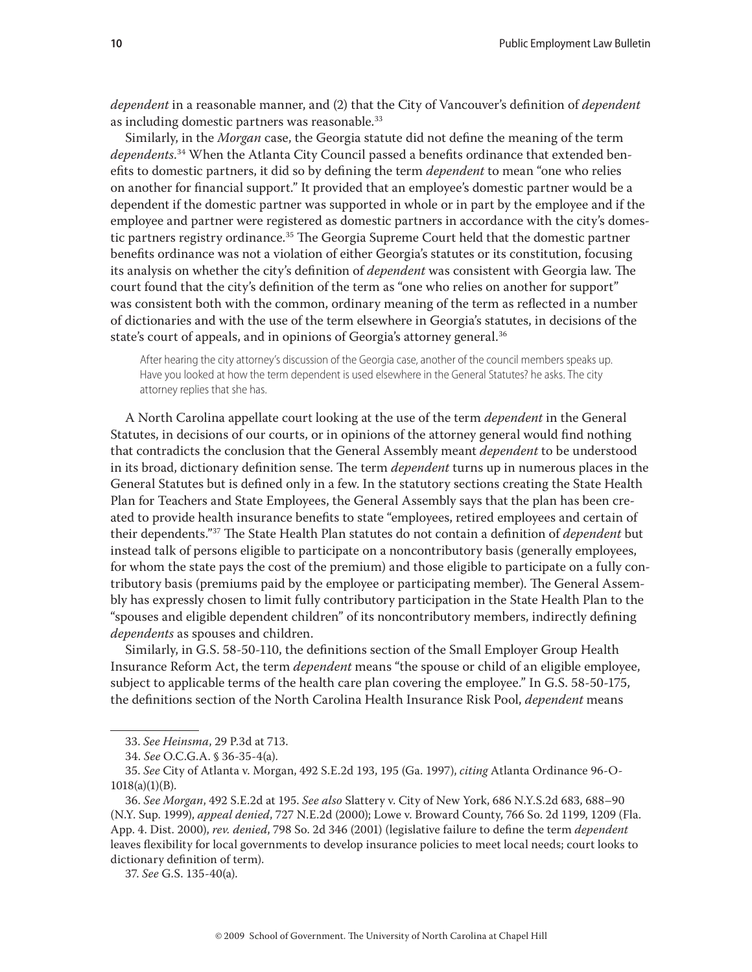*dependent* in a reasonable manner, and (2) that the City of Vancouver's definition of *dependent* as including domestic partners was reasonable.<sup>33</sup>

Similarly, in the *Morgan* case, the Georgia statute did not define the meaning of the term dependents.<sup>34</sup> When the Atlanta City Council passed a benefits ordinance that extended benefits to domestic partners, it did so by defining the term *dependent* to mean "one who relies on another for financial support." It provided that an employee's domestic partner would be a dependent if the domestic partner was supported in whole or in part by the employee and if the employee and partner were registered as domestic partners in accordance with the city's domestic partners registry ordinance.<sup>35</sup> The Georgia Supreme Court held that the domestic partner benefits ordinance was not a violation of either Georgia's statutes or its constitution, focusing its analysis on whether the city's definition of *dependent* was consistent with Georgia law. The court found that the city's definition of the term as "one who relies on another for support" was consistent both with the common, ordinary meaning of the term as reflected in a number of dictionaries and with the use of the term elsewhere in Georgia's statutes, in decisions of the state's court of appeals, and in opinions of Georgia's attorney general.<sup>36</sup>

After hearing the city attorney's discussion of the Georgia case, another of the council members speaks up. Have you looked at how the term dependent is used elsewhere in the General Statutes? he asks. The city attorney replies that she has.

A North Carolina appellate court looking at the use of the term *dependent* in the General Statutes, in decisions of our courts, or in opinions of the attorney general would find nothing that contradicts the conclusion that the General Assembly meant *dependent* to be understood in its broad, dictionary definition sense. The term *dependent* turns up in numerous places in the General Statutes but is defined only in a few. In the statutory sections creating the State Health Plan for Teachers and State Employees, the General Assembly says that the plan has been created to provide health insurance benefits to state "employees, retired employees and certain of their dependents."<sup>37</sup> The State Health Plan statutes do not contain a definition of *dependent* but instead talk of persons eligible to participate on a noncontributory basis (generally employees, for whom the state pays the cost of the premium) and those eligible to participate on a fully contributory basis (premiums paid by the employee or participating member). The General Assembly has expressly chosen to limit fully contributory participation in the State Health Plan to the "spouses and eligible dependent children" of its noncontributory members, indirectly defining *dependents* as spouses and children.

Similarly, in G.S. 58-50-110, the definitions section of the Small Employer Group Health Insurance Reform Act, the term *dependent* means "the spouse or child of an eligible employee, subject to applicable terms of the health care plan covering the employee." In G.S. 58-50-175, the definitions section of the North Carolina Health Insurance Risk Pool, *dependent* means

<sup>33.</sup> *See Heinsma*, 29 P.3d at 713.

<sup>34.</sup> *See* O.C.G.A. § 36-35-4(a).

<sup>35.</sup> *See* City of Atlanta v. Morgan, 492 S.E.2d 193, 195 (Ga. 1997), *citing* Atlanta Ordinance 96-O- $1018(a)(1)(B)$ .

<sup>36.</sup> *See Morgan*, 492 S.E.2d at 195. *See also* Slattery v. City of New York, 686 N.Y.S.2d 683, 688–90 (N.Y. Sup. 1999), *appeal denied*, 727 N.E.2d (2000); Lowe v. Broward County, 766 So. 2d 1199, 1209 (Fla. App. 4. Dist. 2000), *rev. denied*, 798 So. 2d 346 (2001) (legislative failure to define the term *dependent* leaves flexibility for local governments to develop insurance policies to meet local needs; court looks to dictionary definition of term).

<sup>37.</sup> *See* G.S. 135-40(a).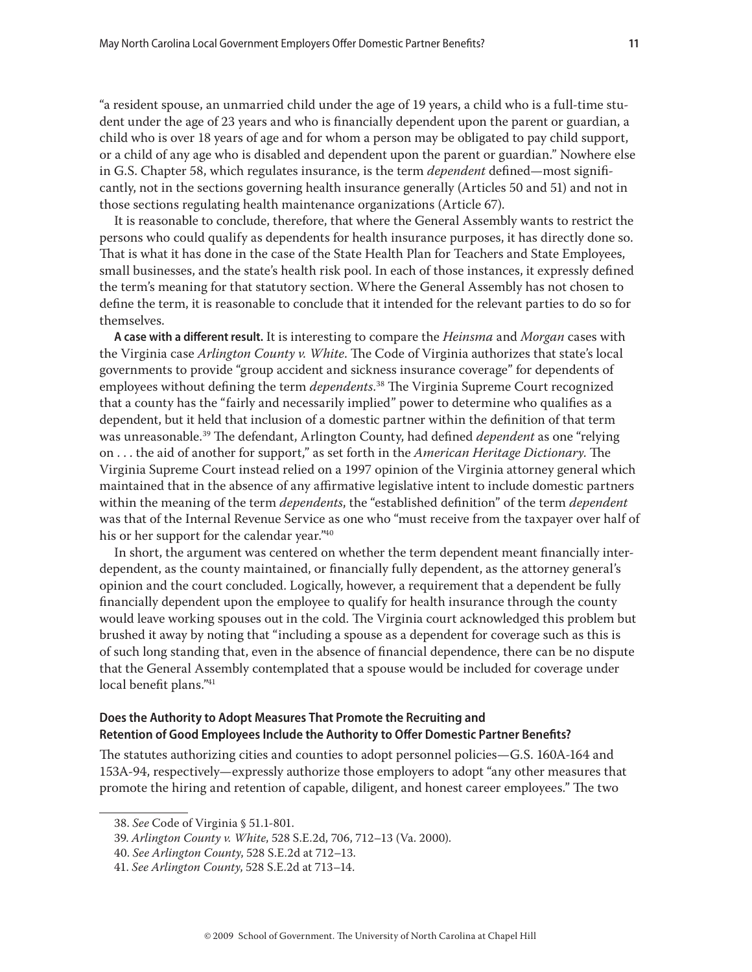"a resident spouse, an unmarried child under the age of 19 years, a child who is a full-time student under the age of 23 years and who is financially dependent upon the parent or guardian, a child who is over 18 years of age and for whom a person may be obligated to pay child support, or a child of any age who is disabled and dependent upon the parent or guardian." Nowhere else in G.S. Chapter 58, which regulates insurance, is the term *dependent* defined—most significantly, not in the sections governing health insurance generally (Articles 50 and 51) and not in those sections regulating health maintenance organizations (Article 67).

It is reasonable to conclude, therefore, that where the General Assembly wants to restrict the persons who could qualify as dependents for health insurance purposes, it has directly done so. That is what it has done in the case of the State Health Plan for Teachers and State Employees, small businesses, and the state's health risk pool. In each of those instances, it expressly defined the term's meaning for that statutory section. Where the General Assembly has not chosen to define the term, it is reasonable to conclude that it intended for the relevant parties to do so for themselves.

A case with a different result. It is interesting to compare the *Heinsma* and *Morgan* cases with the Virginia case *Arlington County v. White*. The Code of Virginia authorizes that state's local governments to provide "group accident and sickness insurance coverage" for dependents of employees without defining the term *dependents*.<sup>38</sup> The Virginia Supreme Court recognized that a county has the "fairly and necessarily implied" power to determine who qualifies as a dependent, but it held that inclusion of a domestic partner within the definition of that term was unreasonable.<sup>39</sup> The defendant, Arlington County, had defined *dependent* as one "relying on . . . the aid of another for support," as set forth in the *American Heritage Dictionary*. The Virginia Supreme Court instead relied on a 1997 opinion of the Virginia attorney general which maintained that in the absence of any affirmative legislative intent to include domestic partners within the meaning of the term *dependents*, the "established definition" of the term *dependent* was that of the Internal Revenue Service as one who "must receive from the taxpayer over half of his or her support for the calendar year."40

In short, the argument was centered on whether the term dependent meant financially interdependent, as the county maintained, or financially fully dependent, as the attorney general's opinion and the court concluded. Logically, however, a requirement that a dependent be fully financially dependent upon the employee to qualify for health insurance through the county would leave working spouses out in the cold. The Virginia court acknowledged this problem but brushed it away by noting that "including a spouse as a dependent for coverage such as this is of such long standing that, even in the absence of fi nancial dependence, there can be no dispute that the General Assembly contemplated that a spouse would be included for coverage under local benefit plans."<sup>41</sup>

### **Does the Authority to Adopt Measures That Promote the Recruiting and**  Retention of Good Employees Include the Authority to Offer Domestic Partner Benefits?

The statutes authorizing cities and counties to adopt personnel policies-G.S. 160A-164 and 153A-94, respectively—expressly authorize those employers to adopt "any other measures that promote the hiring and retention of capable, diligent, and honest career employees." The two

<sup>38.</sup> *See* Code of Virginia § 51.1-801.

<sup>39.</sup> *Arlington County v. White*, 528 S.E.2d, 706, 712–13 (Va. 2000).

<sup>40.</sup> *See Arlington County*, 528 S.E.2d at 712–13.

<sup>41.</sup> *See Arlington County*, 528 S.E.2d at 713–14.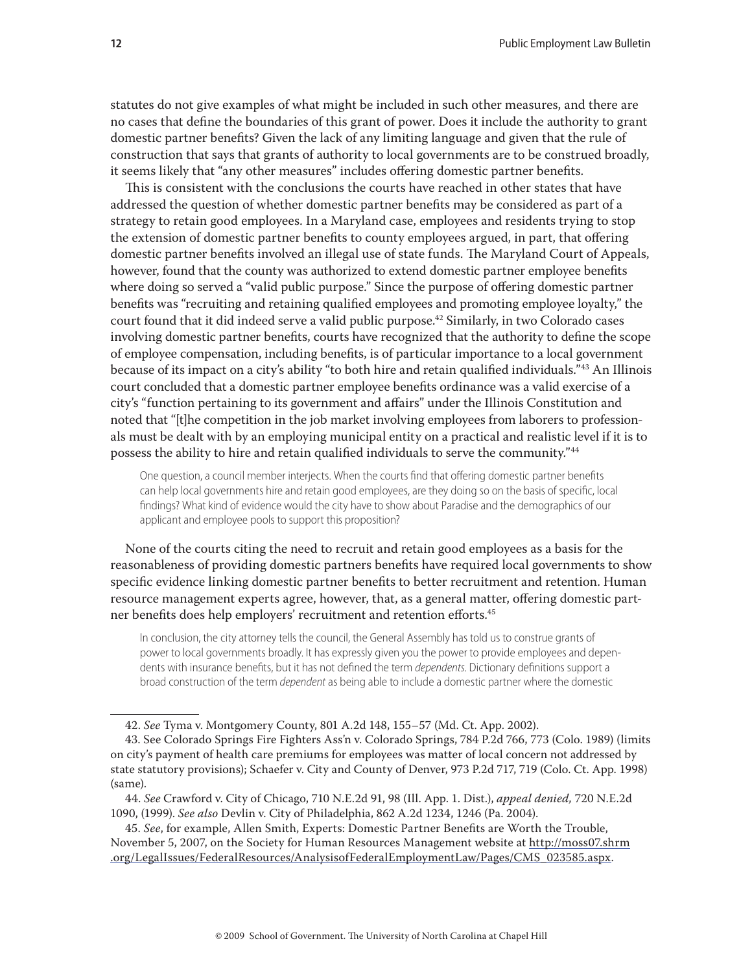statutes do not give examples of what might be included in such other measures, and there are no cases that define the boundaries of this grant of power. Does it include the authority to grant domestic partner benefits? Given the lack of any limiting language and given that the rule of construction that says that grants of authority to local governments are to be construed broadly, it seems likely that "any other measures" includes offering domestic partner benefits.

This is consistent with the conclusions the courts have reached in other states that have addressed the question of whether domestic partner benefits may be considered as part of a strategy to retain good employees. In a Maryland case, employees and residents trying to stop the extension of domestic partner benefits to county employees argued, in part, that offering domestic partner benefits involved an illegal use of state funds. The Maryland Court of Appeals, however, found that the county was authorized to extend domestic partner employee benefits where doing so served a "valid public purpose." Since the purpose of offering domestic partner benefits was "recruiting and retaining qualified employees and promoting employee loyalty," the court found that it did indeed serve a valid public purpose.<sup>42</sup> Similarly, in two Colorado cases involving domestic partner benefits, courts have recognized that the authority to define the scope of employee compensation, including benefits, is of particular importance to a local government because of its impact on a city's ability "to both hire and retain qualified individuals."<sup>43</sup> An Illinois court concluded that a domestic partner employee benefits ordinance was a valid exercise of a city's "function pertaining to its government and affairs" under the Illinois Constitution and noted that "[t]he competition in the job market involving employees from laborers to professionals must be dealt with by an employing municipal entity on a practical and realistic level if it is to possess the ability to hire and retain qualified individuals to serve the community."<sup>44</sup>

One question, a council member interjects. When the courts find that offering domestic partner benefits can help local governments hire and retain good employees, are they doing so on the basis of specific, local findings? What kind of evidence would the city have to show about Paradise and the demographics of our applicant and employee pools to support this proposition?

None of the courts citing the need to recruit and retain good employees as a basis for the reasonableness of providing domestic partners benefits have required local governments to show specific evidence linking domestic partner benefits to better recruitment and retention. Human resource management experts agree, however, that, as a general matter, offering domestic partner benefits does help employers' recruitment and retention efforts.<sup>45</sup>

In conclusion, the city attorney tells the council, the General Assembly has told us to construe grants of power to local governments broadly. It has expressly given you the power to provide employees and dependents with insurance benefits, but it has not defined the term *dependents*. Dictionary definitions support a broad construction of the term *dependent* as being able to include a domestic partner where the domestic

45. See, for example, Allen Smith, Experts: Domestic Partner Benefits are Worth the Trouble, November 5, 2007, on the Society for Human Resources Management website at http://moss07.shrm .org/LegalIssues/FederalResources/AnalysisofFederalEmploymentLaw/Pages/CMS\_023585.aspx.

<sup>42.</sup> *See* Tyma v. Montgomery County, 801 A.2d 148, 155–57 (Md. Ct. App. 2002).

<sup>43.</sup> See Colorado Springs Fire Fighters Ass'n v. Colorado Springs, 784 P.2d 766, 773 (Colo. 1989) (limits on city's payment of health care premiums for employees was matter of local concern not addressed by state statutory provisions); Schaefer v. City and County of Denver, 973 P.2d 717, 719 (Colo. Ct. App. 1998) (same).

<sup>44.</sup> *See* Crawford v. City of Chicago, 710 N.E.2d 91, 98 (Ill. App. 1. Dist.), *appeal denied,* 720 N.E.2d 1090, (1999). *See also* Devlin v. City of Philadelphia, 862 A.2d 1234, 1246 (Pa. 2004).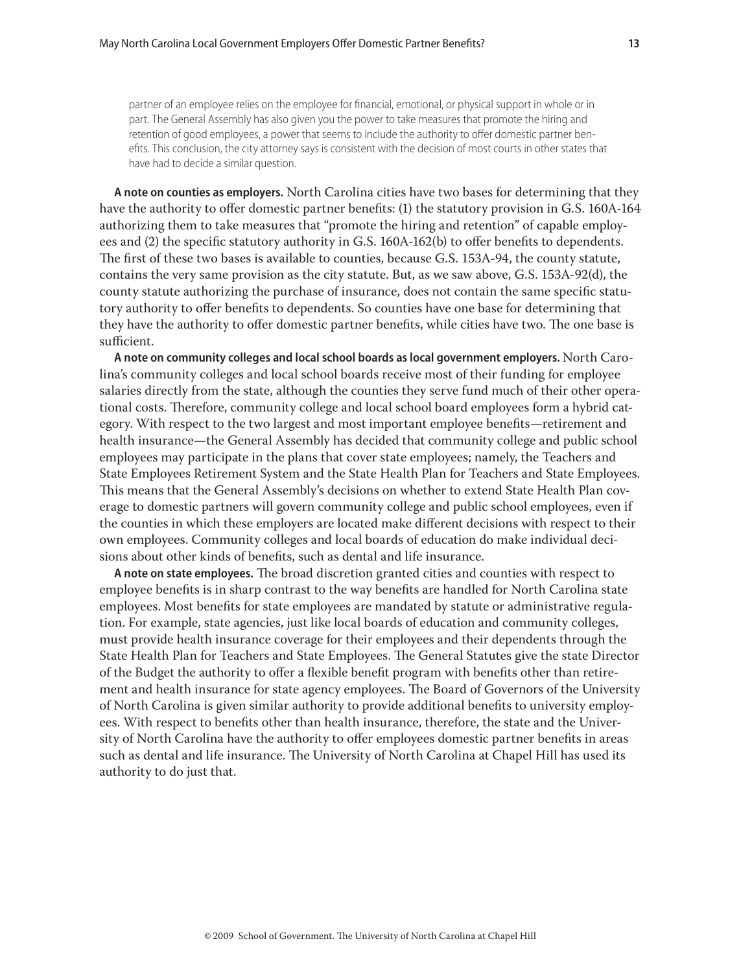partner of an employee relies on the employee for financial, emotional, or physical support in whole or in part. The General Assembly has also given you the power to take measures that promote the hiring and retention of good employees, a power that seems to include the authority to offer domestic partner benefits. This conclusion, the city attorney says is consistent with the decision of most courts in other states that have had to decide a similar question.

**A note on counties as employers.** North Carolina cities have two bases for determining that they have the authority to offer domestic partner benefits: (1) the statutory provision in G.S. 160A-164 authorizing them to take measures that "promote the hiring and retention" of capable employees and (2) the specific statutory authority in G.S. 160A-162(b) to offer benefits to dependents. The first of these two bases is available to counties, because G.S. 153A-94, the county statute, contains the very same provision as the city statute. But, as we saw above, G.S. 153A-92(d), the county statute authorizing the purchase of insurance, does not contain the same specific statutory authority to offer benefits to dependents. So counties have one base for determining that they have the authority to offer domestic partner benefits, while cities have two. The one base is sufficient.

**A note on community colleges and local school boards as local government employers.** North Carolina's community colleges and local school boards receive most of their funding for employee salaries directly from the state, although the counties they serve fund much of their other operational costs. Therefore, community college and local school board employees form a hybrid category. With respect to the two largest and most important employee benefits—retirement and health insurance—the General Assembly has decided that community college and public school employees may participate in the plans that cover state employees; namely, the Teachers and State Employees Retirement System and the State Health Plan for Teachers and State Employees. This means that the General Assembly's decisions on whether to extend State Health Plan coverage to domestic partners will govern community college and public school employees, even if the counties in which these employers are located make different decisions with respect to their own employees. Community colleges and local boards of education do make individual decisions about other kinds of benefits, such as dental and life insurance.

A note on state employees. The broad discretion granted cities and counties with respect to employee benefits is in sharp contrast to the way benefits are handled for North Carolina state employees. Most benefits for state employees are mandated by statute or administrative regulation. For example, state agencies, just like local boards of education and community colleges, must provide health insurance coverage for their employees and their dependents through the State Health Plan for Teachers and State Employees. The General Statutes give the state Director of the Budget the authority to offer a flexible benefit program with benefits other than retirement and health insurance for state agency employees. The Board of Governors of the University of North Carolina is given similar authority to provide additional benefits to university employees. With respect to benefits other than health insurance, therefore, the state and the University of North Carolina have the authority to offer employees domestic partner benefits in areas such as dental and life insurance. The University of North Carolina at Chapel Hill has used its authority to do just that.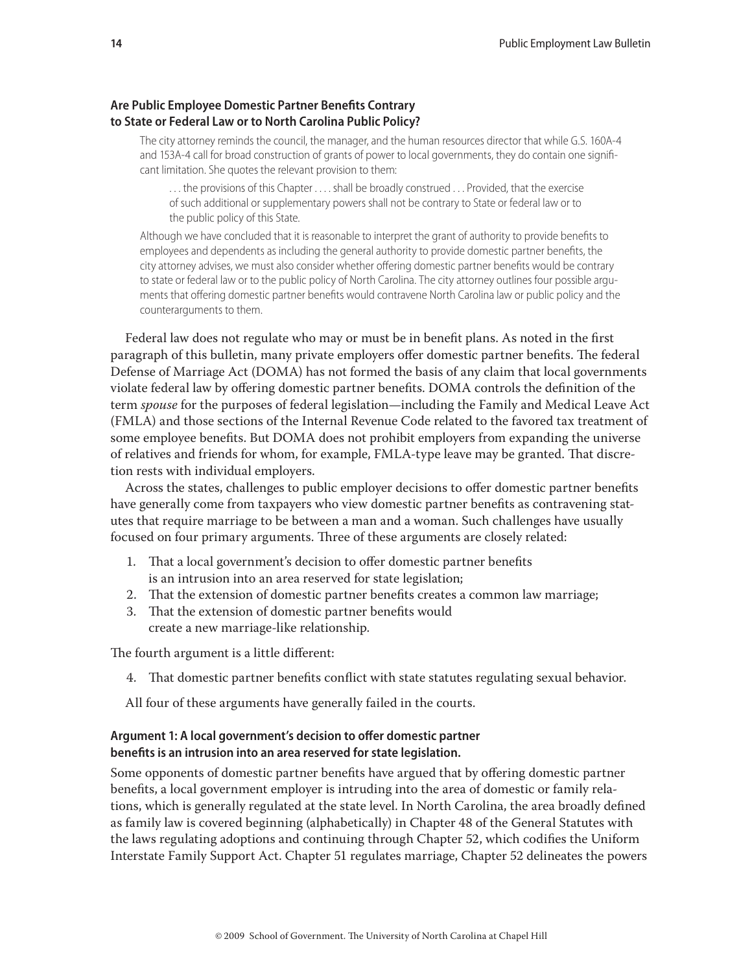## **Are Public Employee Domestic Partner Benefits Contrary to State or Federal Law or to North Carolina Public Policy?**

The city attorney reminds the council, the manager, and the human resources director that while G.S. 160A-4 and 153A-4 call for broad construction of grants of power to local governments, they do contain one significant limitation. She quotes the relevant provision to them:

. . . the provisions of this Chapter . . . . shall be broadly construed . . . Provided, that the exercise of such additional or supplementary powers shall not be contrary to State or federal law or to the public policy of this State.

Although we have concluded that it is reasonable to interpret the grant of authority to provide benefits to employees and dependents as including the general authority to provide domestic partner benefits, the city attorney advises, we must also consider whether offering domestic partner benefits would be contrary to state or federal law or to the public policy of North Carolina. The city attorney outlines four possible arguments that offering domestic partner benefits would contravene North Carolina law or public policy and the counterarguments to them.

Federal law does not regulate who may or must be in benefit plans. As noted in the first paragraph of this bulletin, many private employers offer domestic partner benefits. The federal Defense of Marriage Act (DOMA) has not formed the basis of any claim that local governments violate federal law by offering domestic partner benefits. DOMA controls the definition of the term *spouse* for the purposes of federal legislation—including the Family and Medical Leave Act (FMLA) and those sections of the Internal Revenue Code related to the favored tax treatment of some employee benefits. But DOMA does not prohibit employers from expanding the universe of relatives and friends for whom, for example, FMLA-type leave may be granted. That discretion rests with individual employers.

Across the states, challenges to public employer decisions to offer domestic partner benefits have generally come from taxpayers who view domestic partner benefits as contravening statutes that require marriage to be between a man and a woman. Such challenges have usually focused on four primary arguments. Th ree of these arguments are closely related:

- 1. That a local government's decision to offer domestic partner benefits is an intrusion into an area reserved for state legislation;
- 2. That the extension of domestic partner benefits creates a common law marriage;
- 3. That the extension of domestic partner benefits would create a new marriage-like relationship.

The fourth argument is a little different:

4. That domestic partner benefits conflict with state statutes regulating sexual behavior.

All four of these arguments have generally failed in the courts.

## Argument 1: A local government's decision to offer domestic partner benefits is an intrusion into an area reserved for state legislation.

Some opponents of domestic partner benefits have argued that by offering domestic partner benefits, a local government employer is intruding into the area of domestic or family relations, which is generally regulated at the state level. In North Carolina, the area broadly defined as family law is covered beginning (alphabetically) in Chapter 48 of the General Statutes with the laws regulating adoptions and continuing through Chapter 52, which codifies the Uniform Interstate Family Support Act. Chapter 51 regulates marriage, Chapter 52 delineates the powers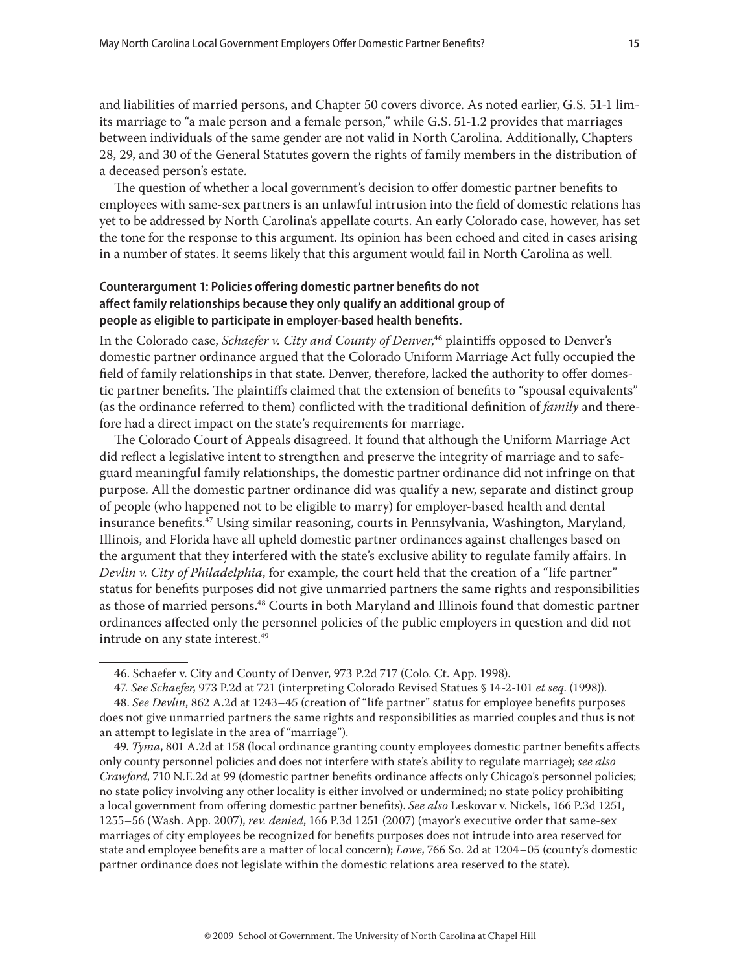and liabilities of married persons, and Chapter 50 covers divorce. As noted earlier, G.S. 51-1 limits marriage to "a male person and a female person," while G.S. 51-1.2 provides that marriages between individuals of the same gender are not valid in North Carolina. Additionally, Chapters 28, 29, and 30 of the General Statutes govern the rights of family members in the distribution of a deceased person's estate.

The question of whether a local government's decision to offer domestic partner benefits to employees with same-sex partners is an unlawful intrusion into the field of domestic relations has yet to be addressed by North Carolina's appellate courts. An early Colorado case, however, has set the tone for the response to this argument. Its opinion has been echoed and cited in cases arising in a number of states. It seems likely that this argument would fail in North Carolina as well.

## **Counterargument 1: Policies offering domestic partner benefits do not aff ect family relationships because they only qualify an additional group of**  people as eligible to participate in employer-based health benefits.

In the Colorado case, *Schaefer v. City and County of Denver*,<sup>46</sup> plaintiffs opposed to Denver's domestic partner ordinance argued that the Colorado Uniform Marriage Act fully occupied the field of family relationships in that state. Denver, therefore, lacked the authority to offer domestic partner benefits. The plaintiffs claimed that the extension of benefits to "spousal equivalents" (as the ordinance referred to them) conflicted with the traditional definition of *family* and therefore had a direct impact on the state's requirements for marriage.

The Colorado Court of Appeals disagreed. It found that although the Uniform Marriage Act did reflect a legislative intent to strengthen and preserve the integrity of marriage and to safeguard meaningful family relationships, the domestic partner ordinance did not infringe on that purpose. All the domestic partner ordinance did was qualify a new, separate and distinct group of people (who happened not to be eligible to marry) for employer-based health and dental insurance benefits.<sup>47</sup> Using similar reasoning, courts in Pennsylvania, Washington, Maryland, Illinois, and Florida have all upheld domestic partner ordinances against challenges based on the argument that they interfered with the state's exclusive ability to regulate family affairs. In *Devlin v. City of Philadelphia*, for example, the court held that the creation of a "life partner" status for benefits purposes did not give unmarried partners the same rights and responsibilities as those of married persons.<sup>48</sup> Courts in both Maryland and Illinois found that domestic partner ordinances affected only the personnel policies of the public employers in question and did not intrude on any state interest.<sup>49</sup>

<sup>46.</sup> Schaefer v. City and County of Denver, 973 P.2d 717 (Colo. Ct. App. 1998).

<sup>47</sup>*. See Schaefer*, 973 P.2d at 721 (interpreting Colorado Revised Statues § 14-2-101 *et seq*. (1998)).

<sup>48.</sup> See *Devlin*, 862 A.2d at 1243–45 (creation of "life partner" status for employee benefits purposes does not give unmarried partners the same rights and responsibilities as married couples and thus is not an attempt to legislate in the area of "marriage").

<sup>49.</sup> *Tyma*, 801 A.2d at 158 (local ordinance granting county employees domestic partner benefits affects only county personnel policies and does not interfere with state's ability to regulate marriage); *see also Crawford*, 710 N.E.2d at 99 (domestic partner benefits ordinance affects only Chicago's personnel policies; no state policy involving any other locality is either involved or undermined; no state policy prohibiting a local government from offering domestic partner benefits). *See also* Leskovar v. Nickels, 166 P.3d 1251, 1255–56 (Wash. App. 2007), *rev. denied*, 166 P.3d 1251 (2007) (mayor's executive order that same-sex marriages of city employees be recognized for benefits purposes does not intrude into area reserved for state and employee benefits are a matter of local concern); *Lowe*, 766 So. 2d at 1204-05 (county's domestic partner ordinance does not legislate within the domestic relations area reserved to the state).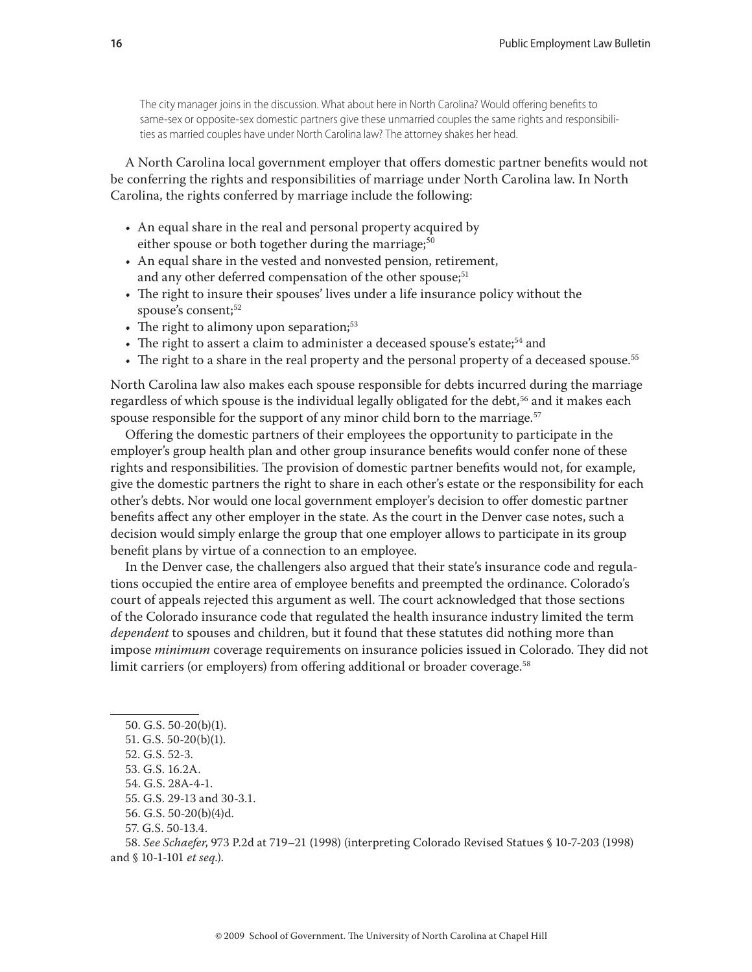The city manager joins in the discussion. What about here in North Carolina? Would offering benefits to same-sex or opposite-sex domestic partners give these unmarried couples the same rights and responsibilities as married couples have under North Carolina law? The attorney shakes her head.

A North Carolina local government employer that offers domestic partner benefits would not be conferring the rights and responsibilities of marriage under North Carolina law. In North Carolina, the rights conferred by marriage include the following:

- An equal share in the real and personal property acquired by either spouse or both together during the marriage;<sup>50</sup>
- An equal share in the vested and nonvested pension, retirement, and any other deferred compensation of the other spouse;<sup>51</sup>
- The right to insure their spouses' lives under a life insurance policy without the spouse's consent;<sup>52</sup>
- $\bullet$  The right to alimony upon separation;<sup>53</sup>
- The right to assert a claim to administer a deceased spouse's estate;<sup>54</sup> and
- The right to a share in the real property and the personal property of a deceased spouse.<sup>55</sup>

North Carolina law also makes each spouse responsible for debts incurred during the marriage regardless of which spouse is the individual legally obligated for the debt,<sup>56</sup> and it makes each spouse responsible for the support of any minor child born to the marriage.<sup>57</sup>

Offering the domestic partners of their employees the opportunity to participate in the employer's group health plan and other group insurance benefits would confer none of these rights and responsibilities. The provision of domestic partner benefits would not, for example, give the domestic partners the right to share in each other's estate or the responsibility for each other's debts. Nor would one local government employer's decision to offer domestic partner benefits affect any other employer in the state. As the court in the Denver case notes, such a decision would simply enlarge the group that one employer allows to participate in its group benefit plans by virtue of a connection to an employee.

In the Denver case, the challengers also argued that their state's insurance code and regulations occupied the entire area of employee benefits and preempted the ordinance. Colorado's court of appeals rejected this argument as well. The court acknowledged that those sections of the Colorado insurance code that regulated the health insurance industry limited the term *dependent* to spouses and children, but it found that these statutes did nothing more than impose *minimum* coverage requirements on insurance policies issued in Colorado. They did not limit carriers (or employers) from offering additional or broader coverage.<sup>58</sup>

- 51. G.S. 50-20(b)(1).
- 52. G.S. 52-3.
- 53. G.S. 16.2A.
- 54. G.S. 28A-4-1.
- 55. G.S. 29-13 and 30-3.1.
- 56. G.S. 50-20(b)(4)d.
- 57. G.S. 50-13.4.

58. *See Schaefer*, 973 P.2d at 719–21 (1998) (interpreting Colorado Revised Statues § 10-7-203 (1998) and § 10-1-101 *et seq*.).

<sup>50.</sup> G.S. 50-20(b)(1).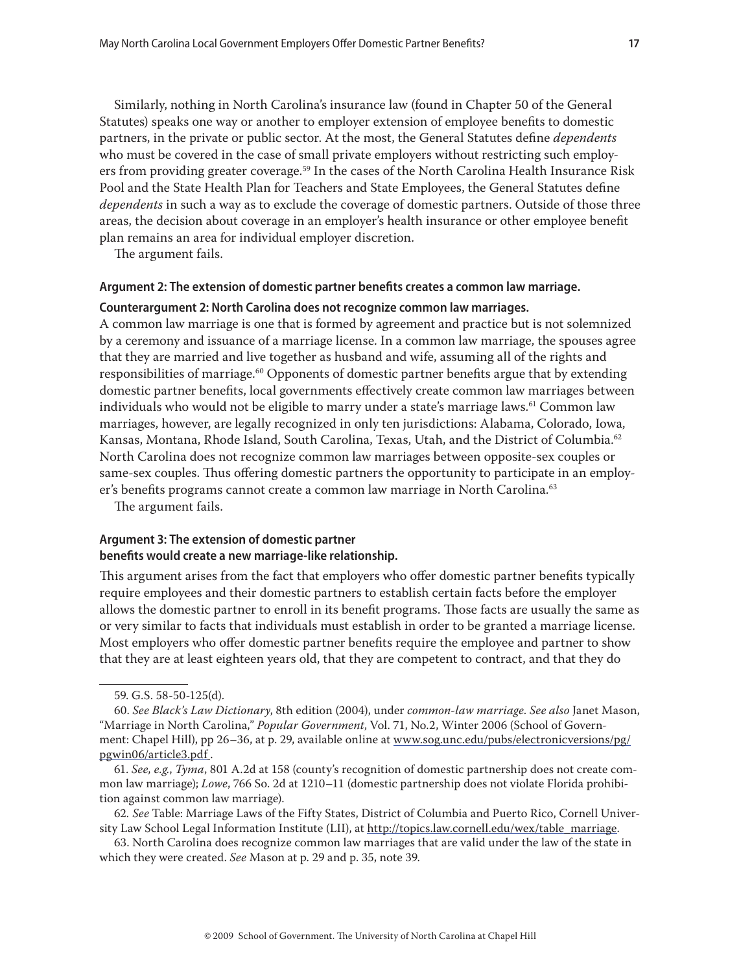Similarly, nothing in North Carolina's insurance law (found in Chapter 50 of the General Statutes) speaks one way or another to employer extension of employee benefits to domestic partners, in the private or public sector. At the most, the General Statutes define *dependents* who must be covered in the case of small private employers without restricting such employers from providing greater coverage.<sup>59</sup> In the cases of the North Carolina Health Insurance Risk Pool and the State Health Plan for Teachers and State Employees, the General Statutes define *dependents* in such a way as to exclude the coverage of domestic partners. Outside of those three areas, the decision about coverage in an employer's health insurance or other employee benefit plan remains an area for individual employer discretion.

The argument fails.

#### Argument 2: The extension of domestic partner benefits creates a common law marriage.

#### **Counterargument 2: North Carolina does not recognize common law marriages.**

A common law marriage is one that is formed by agreement and practice but is not solemnized by a ceremony and issuance of a marriage license. In a common law marriage, the spouses agree that they are married and live together as husband and wife, assuming all of the rights and responsibilities of marriage.<sup>60</sup> Opponents of domestic partner benefits argue that by extending domestic partner benefits, local governments effectively create common law marriages between individuals who would not be eligible to marry under a state's marriage laws.<sup>61</sup> Common law marriages, however, are legally recognized in only ten jurisdictions: Alabama, Colorado, Iowa, Kansas, Montana, Rhode Island, South Carolina, Texas, Utah, and the District of Columbia.<sup>62</sup> North Carolina does not recognize common law marriages between opposite-sex couples or same-sex couples. Thus offering domestic partners the opportunity to participate in an employer's benefits programs cannot create a common law marriage in North Carolina.<sup>63</sup>

The argument fails.

## **Argument 3: The extension of domestic partner**  benefits would create a new marriage-like relationship.

This argument arises from the fact that employers who offer domestic partner benefits typically require employees and their domestic partners to establish certain facts before the employer allows the domestic partner to enroll in its benefit programs. Those facts are usually the same as or very similar to facts that individuals must establish in order to be granted a marriage license. Most employers who offer domestic partner benefits require the employee and partner to show that they are at least eighteen years old, that they are competent to contract, and that they do

63. North Carolina does recognize common law marriages that are valid under the law of the state in which they were created. *See* Mason at p. 29 and p. 35, note 39.

<sup>59.</sup> G.S. 58-50-125(d).

<sup>60.</sup> *See Black's Law Dictionary*, 8th edition (2004), under *common-law marriage*. *See also* Janet Mason, "Marriage in North Carolina," *Popular Government*, Vol. 71, No.2, Winter 2006 (School of Government: Chapel Hill), pp 26–36, at p. 29, available online at www.sog.unc.edu/pubs/electronicversions/pg/ pgwin06/article3.pdf.

<sup>61.</sup> *See, e.g.*, *Tyma*, 801 A.2d at 158 (county's recognition of domestic partnership does not create common law marriage); *Lowe*, 766 So. 2d at 1210–11 (domestic partnership does not violate Florida prohibition against common law marriage).

<sup>62</sup>*. See* Table: Marriage Laws of the Fifty States, District of Columbia and Puerto Rico, Cornell University Law School Legal Information Institute (LII), at http://topics.law.cornell.edu/wex/table\_marriage.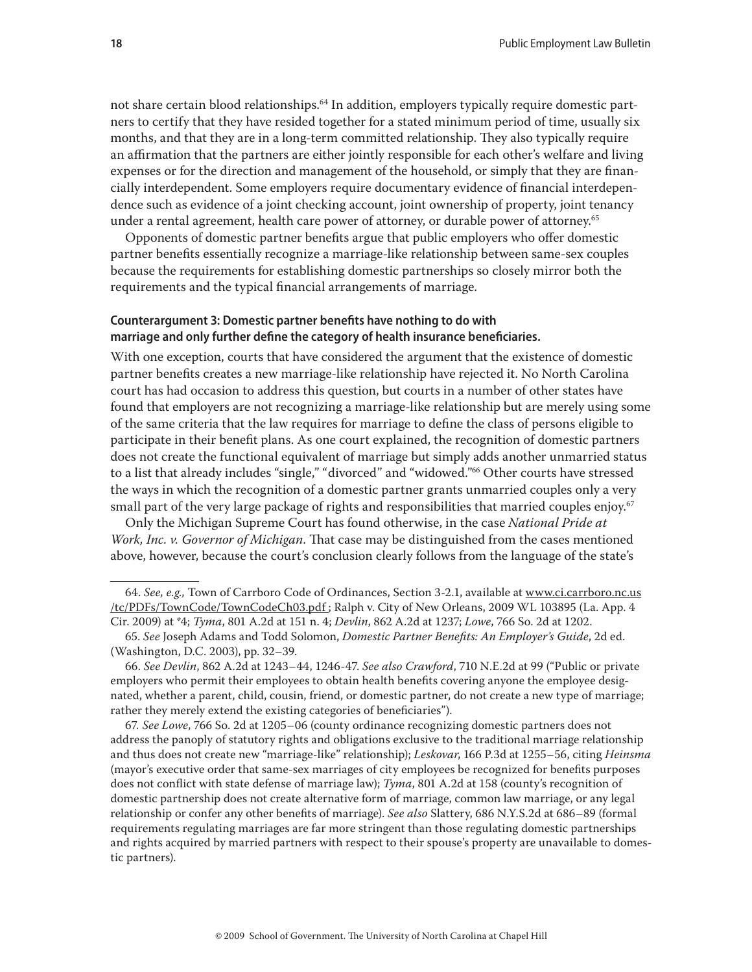not share certain blood relationships.<sup>64</sup> In addition, employers typically require domestic partners to certify that they have resided together for a stated minimum period of time, usually six months, and that they are in a long-term committed relationship. They also typically require an affirmation that the partners are either jointly responsible for each other's welfare and living expenses or for the direction and management of the household, or simply that they are financially interdependent. Some employers require documentary evidence of financial interdependence such as evidence of a joint checking account, joint ownership of property, joint tenancy under a rental agreement, health care power of attorney, or durable power of attorney.<sup>65</sup>

Opponents of domestic partner benefits argue that public employers who offer domestic partner benefits essentially recognize a marriage-like relationship between same-sex couples because the requirements for establishing domestic partnerships so closely mirror both the requirements and the typical financial arrangements of marriage.

## Counterargument 3: Domestic partner benefits have nothing to do with marriage and only further define the category of health insurance beneficiaries.

With one exception, courts that have considered the argument that the existence of domestic partner benefits creates a new marriage-like relationship have rejected it. No North Carolina court has had occasion to address this question, but courts in a number of other states have found that employers are not recognizing a marriage-like relationship but are merely using some of the same criteria that the law requires for marriage to define the class of persons eligible to participate in their benefit plans. As one court explained, the recognition of domestic partners does not create the functional equivalent of marriage but simply adds another unmarried status to a list that already includes "single," "divorced" and "widowed."66 Other courts have stressed the ways in which the recognition of a domestic partner grants unmarried couples only a very small part of the very large package of rights and responsibilities that married couples enjoy.<sup>67</sup>

Only the Michigan Supreme Court has found otherwise, in the case *National Pride at Work, Inc. v. Governor of Michigan*. That case may be distinguished from the cases mentioned above, however, because the court's conclusion clearly follows from the language of the state's

67*. See Lowe*, 766 So. 2d at 1205–06 (county ordinance recognizing domestic partners does not address the panoply of statutory rights and obligations exclusive to the traditional marriage relationship and thus does not create new "marriage-like" relationship); *Leskovar*, 166 P.3d at 1255–56, citing *Heinsma* (mayor's executive order that same-sex marriages of city employees be recognized for benefits purposes does not conflict with state defense of marriage law); *Tyma*, 801 A.2d at 158 (county's recognition of domestic partnership does not create alternative form of marriage, common law marriage, or any legal relationship or confer any other benefits of marriage). *See also* Slattery, 686 N.Y.S.2d at 686–89 (formal requirements regulating marriages are far more stringent than those regulating domestic partnerships and rights acquired by married partners with respect to their spouse's property are unavailable to domestic partners).

<sup>64.</sup> *See, e.g.,* Town of Carrboro Code of Ordinances, Section 3-2.1, available at www.ci.carrboro.nc.us /tc/PDFs/TownCode/TownCodeCh03.pdf ; Ralph v. City of New Orleans, 2009 WL 103895 (La. App. 4 Cir. 2009) at \*4; *Tyma*, 801 A.2d at 151 n. 4; *Devlin*, 862 A.2d at 1237; *Lowe*, 766 So. 2d at 1202.

<sup>65.</sup> *See* Joseph Adams and Todd Solomon, *Domestic Partner Benefi ts: An Employer's Guide*, 2d ed. (Washington, D.C. 2003), pp. 32–39.

<sup>66.</sup> *See Devlin*, 862 A.2d at 1243–44, 1246-47. *See also Crawford*, 710 N.E.2d at 99 ("Public or private employers who permit their employees to obtain health benefits covering anyone the employee designated, whether a parent, child, cousin, friend, or domestic partner, do not create a new type of marriage; rather they merely extend the existing categories of beneficiaries").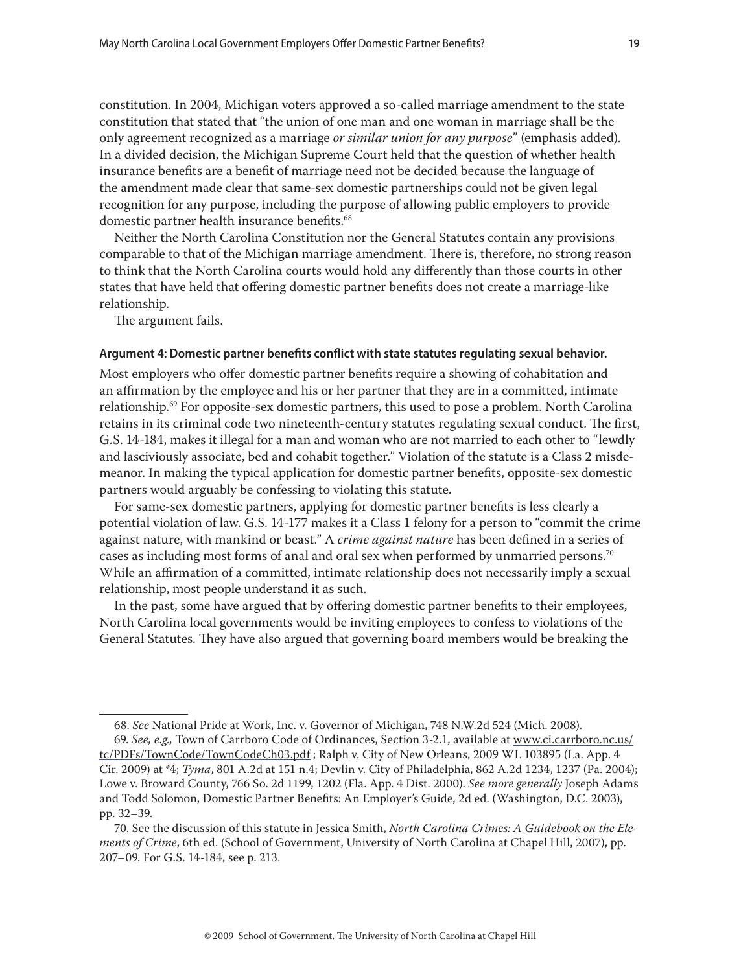constitution. In 2004, Michigan voters approved a so-called marriage amendment to the state constitution that stated that "the union of one man and one woman in marriage shall be the only agreement recognized as a marriage *or similar union for any purpose*" (emphasis added). In a divided decision, the Michigan Supreme Court held that the question of whether health insurance benefits are a benefit of marriage need not be decided because the language of the amendment made clear that same-sex domestic partnerships could not be given legal recognition for any purpose, including the purpose of allowing public employers to provide domestic partner health insurance benefits.<sup>68</sup>

Neither the North Carolina Constitution nor the General Statutes contain any provisions comparable to that of the Michigan marriage amendment. There is, therefore, no strong reason to think that the North Carolina courts would hold any differently than those courts in other states that have held that offering domestic partner benefits does not create a marriage-like relationship.

The argument fails.

#### Argument 4: Domestic partner benefits conflict with state statutes regulating sexual behavior.

Most employers who offer domestic partner benefits require a showing of cohabitation and an affirmation by the employee and his or her partner that they are in a committed, intimate relationship.<sup>69</sup> For opposite-sex domestic partners, this used to pose a problem. North Carolina retains in its criminal code two nineteenth-century statutes regulating sexual conduct. The first, G.S. 14-184, makes it illegal for a man and woman who are not married to each other to "lewdly and lasciviously associate, bed and cohabit together." Violation of the statute is a Class 2 misdemeanor. In making the typical application for domestic partner benefits, opposite-sex domestic partners would arguably be confessing to violating this statute.

For same-sex domestic partners, applying for domestic partner benefits is less clearly a potential violation of law. G.S. 14-177 makes it a Class 1 felony for a person to "commit the crime against nature, with mankind or beast." A *crime against nature* has been defined in a series of cases as including most forms of anal and oral sex when performed by unmarried persons.70 While an affirmation of a committed, intimate relationship does not necessarily imply a sexual relationship, most people understand it as such.

In the past, some have argued that by offering domestic partner benefits to their employees, North Carolina local governments would be inviting employees to confess to violations of the General Statutes. They have also argued that governing board members would be breaking the

<sup>68.</sup> *See* National Pride at Work, Inc. v. Governor of Michigan, 748 N.W.2d 524 (Mich. 2008).

<sup>69.</sup> *See, e.g.,* Town of Carrboro Code of Ordinances, Section 3-2.1, available at www.ci.carrboro.nc.us/ tc/PDFs/TownCode/TownCodeCh03.pdf; Ralph v. City of New Orleans, 2009 WL 103895 (La. App. 4 Cir. 2009) at \*4; *Tyma*, 801 A.2d at 151 n.4; Devlin v. City of Philadelphia, 862 A.2d 1234, 1237 (Pa. 2004); Lowe v. Broward County, 766 So. 2d 1199, 1202 (Fla. App. 4 Dist. 2000). *See more generally* Joseph Adams and Todd Solomon, Domestic Partner Benefits: An Employer's Guide, 2d ed. (Washington, D.C. 2003), pp. 32–39.

<sup>70.</sup> See the discussion of this statute in Jessica Smith, *North Carolina Crimes: A Guidebook on the Elements of Crime*, 6th ed. (School of Government, University of North Carolina at Chapel Hill, 2007), pp. 207–09. For G.S. 14-184, see p. 213.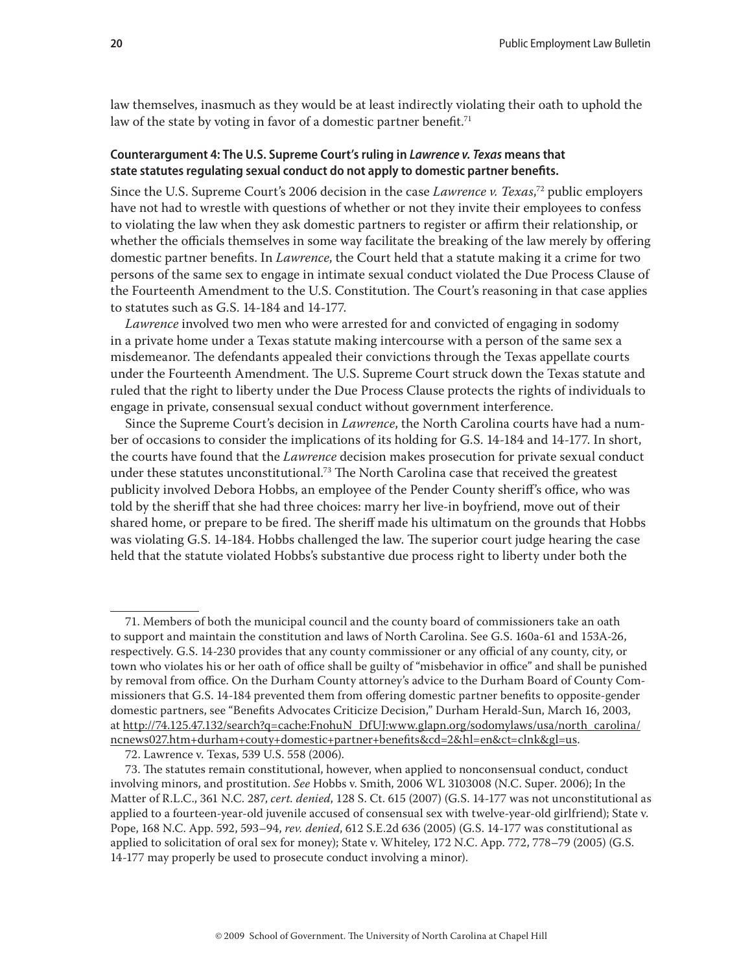law themselves, inasmuch as they would be at least indirectly violating their oath to uphold the law of the state by voting in favor of a domestic partner benefit.<sup>71</sup>

## **Counterargument 4: The U.S. Supreme Court's ruling in** *Lawrence v. Texas* **means that**  state statutes regulating sexual conduct do not apply to domestic partner benefits.

Since the U.S. Supreme Court's 2006 decision in the case *Lawrence v. Texas*, 72 public employers have not had to wrestle with questions of whether or not they invite their employees to confess to violating the law when they ask domestic partners to register or affirm their relationship, or whether the officials themselves in some way facilitate the breaking of the law merely by offering domestic partner benefits. In *Lawrence*, the Court held that a statute making it a crime for two persons of the same sex to engage in intimate sexual conduct violated the Due Process Clause of the Fourteenth Amendment to the U.S. Constitution. The Court's reasoning in that case applies to statutes such as G.S. 14-184 and 14-177.

*Lawrence* involved two men who were arrested for and convicted of engaging in sodomy in a private home under a Texas statute making intercourse with a person of the same sex a misdemeanor. The defendants appealed their convictions through the Texas appellate courts under the Fourteenth Amendment. The U.S. Supreme Court struck down the Texas statute and ruled that the right to liberty under the Due Process Clause protects the rights of individuals to engage in private, consensual sexual conduct without government interference.

Since the Supreme Court's decision in *Lawrence*, the North Carolina courts have had a number of occasions to consider the implications of its holding for G.S. 14-184 and 14-177. In short, the courts have found that the *Lawrence* decision makes prosecution for private sexual conduct under these statutes unconstitutional.<sup>73</sup> The North Carolina case that received the greatest publicity involved Debora Hobbs, an employee of the Pender County sheriff's office, who was told by the sheriff that she had three choices: marry her live-in boyfriend, move out of their shared home, or prepare to be fired. The sheriff made his ultimatum on the grounds that Hobbs was violating G.S. 14-184. Hobbs challenged the law. The superior court judge hearing the case held that the statute violated Hobbs's substantive due process right to liberty under both the

<sup>71.</sup> Members of both the municipal council and the county board of commissioners take an oath to support and maintain the constitution and laws of North Carolina. See G.S. 160a-61 and 153A-26, respectively. G.S. 14-230 provides that any county commissioner or any official of any county, city, or town who violates his or her oath of office shall be guilty of "misbehavior in office" and shall be punished by removal from office. On the Durham County attorney's advice to the Durham Board of County Commissioners that G.S. 14-184 prevented them from offering domestic partner benefits to opposite-gender domestic partners, see "Benefits Advocates Criticize Decision," Durham Herald-Sun, March 16, 2003, at http://74.125.47.132/search?q=cache:FnohuN\_DfUJ:www.glapn.org/sodomylaws/usa/north\_carolina/ ncnews027.htm+durham+couty+domestic+partner+benefi ts&cd=2&hl=en&ct=clnk&gl=us.

<sup>72.</sup> Lawrence v. Texas, 539 U.S. 558 (2006).

<sup>73.</sup> The statutes remain constitutional, however, when applied to nonconsensual conduct, conduct involving minors, and prostitution. *See* Hobbs v. Smith, 2006 WL 3103008 (N.C. Super. 2006); In the Matter of R.L.C., 361 N.C. 287, *cert. denied*, 128 S. Ct. 615 (2007) (G.S. 14-177 was not unconstitutional as applied to a fourteen-year-old juvenile accused of consensual sex with twelve-year-old girlfriend); State v. Pope, 168 N.C. App. 592, 593–94, *rev. denied*, 612 S.E.2d 636 (2005) (G.S. 14-177 was constitutional as applied to solicitation of oral sex for money); State v. Whiteley, 172 N.C. App. 772, 778–79 (2005) (G.S. 14-177 may properly be used to prosecute conduct involving a minor).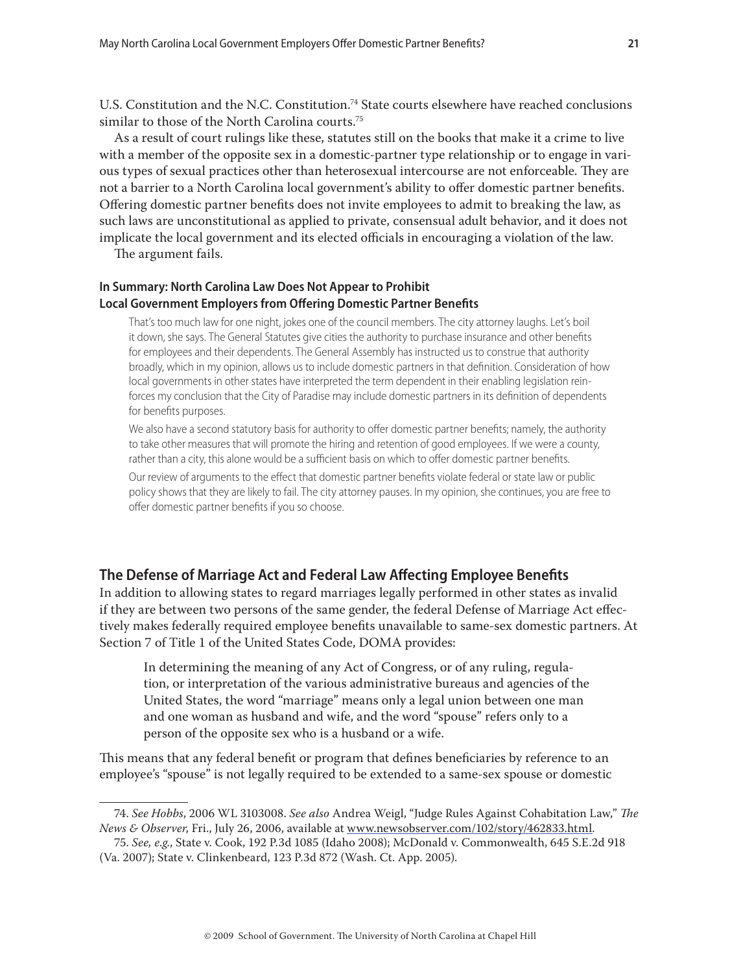U.S. Constitution and the N.C. Constitution.<sup>74</sup> State courts elsewhere have reached conclusions similar to those of the North Carolina courts.<sup>75</sup>

As a result of court rulings like these, statutes still on the books that make it a crime to live with a member of the opposite sex in a domestic-partner type relationship or to engage in various types of sexual practices other than heterosexual intercourse are not enforceable. They are not a barrier to a North Carolina local government's ability to offer domestic partner benefits. Offering domestic partner benefits does not invite employees to admit to breaking the law, as such laws are unconstitutional as applied to private, consensual adult behavior, and it does not implicate the local government and its elected officials in encouraging a violation of the law.

The argument fails.

### **In Summary: North Carolina Law Does Not Appear to Prohibit Local Government Employers from Offering Domestic Partner Benefits**

That's too much law for one night, jokes one of the council members. The city attorney laughs. Let's boil it down, she says. The General Statutes give cities the authority to purchase insurance and other benefits for employees and their dependents. The General Assembly has instructed us to construe that authority broadly, which in my opinion, allows us to include domestic partners in that definition. Consideration of how local governments in other states have interpreted the term dependent in their enabling legislation reinforces my conclusion that the City of Paradise may include domestic partners in its definition of dependents for benefits purposes.

We also have a second statutory basis for authority to offer domestic partner benefits; namely, the authority to take other measures that will promote the hiring and retention of good employees. If we were a county, rather than a city, this alone would be a sufficient basis on which to offer domestic partner benefits.

Our review of arguments to the effect that domestic partner benefits violate federal or state law or public policy shows that they are likely to fail. The city attorney pauses. In my opinion, she continues, you are free to offer domestic partner benefits if you so choose.

## **The Defense of Marriage Act and Federal Law Affecting Employee Benefits**

In addition to allowing states to regard marriages legally performed in other states as invalid if they are between two persons of the same gender, the federal Defense of Marriage Act effectively makes federally required employee benefits unavailable to same-sex domestic partners. At Section 7 of Title 1 of the United States Code, DOMA provides:

In determining the meaning of any Act of Congress, or of any ruling, regulation, or interpretation of the various administrative bureaus and agencies of the United States, the word "marriage" means only a legal union between one man and one woman as husband and wife, and the word "spouse" refers only to a person of the opposite sex who is a husband or a wife.

This means that any federal benefit or program that defines beneficiaries by reference to an employee's "spouse" is not legally required to be extended to a same-sex spouse or domestic

<sup>74.</sup> See Hobbs, 2006 WL 3103008. See also Andrea Weigl, "Judge Rules Against Cohabitation Law," The *News & Observer*, Fri., July 26, 2006, available at www.newsobserver.com/102/story/462833.html.

<sup>75.</sup> *See, e.g.*, State v. Cook, 192 P.3d 1085 (Idaho 2008); McDonald v. Commonwealth, 645 S.E.2d 918 (Va. 2007); State v. Clinkenbeard, 123 P.3d 872 (Wash. Ct. App. 2005).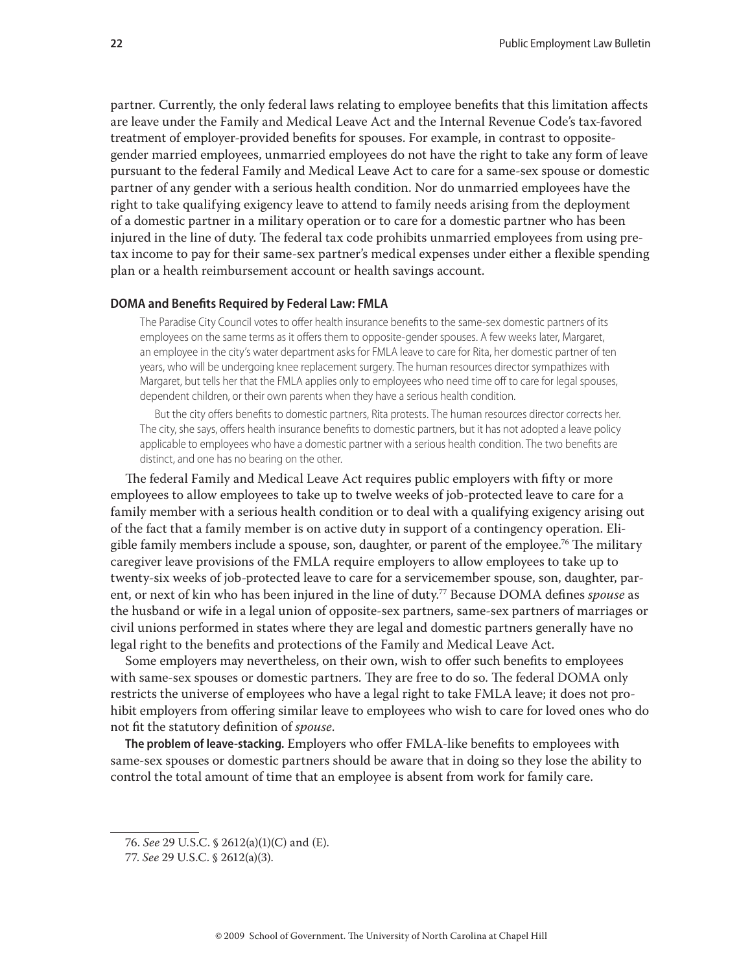partner. Currently, the only federal laws relating to employee benefits that this limitation affects are leave under the Family and Medical Leave Act and the Internal Revenue Code's tax-favored treatment of employer-provided benefits for spouses. For example, in contrast to oppositegender married employees, unmarried employees do not have the right to take any form of leave pursuant to the federal Family and Medical Leave Act to care for a same-sex spouse or domestic partner of any gender with a serious health condition. Nor do unmarried employees have the right to take qualifying exigency leave to attend to family needs arising from the deployment of a domestic partner in a military operation or to care for a domestic partner who has been injured in the line of duty. The federal tax code prohibits unmarried employees from using pretax income to pay for their same-sex partner's medical expenses under either a flexible spending plan or a health reimbursement account or health savings account.

#### **DOMA and Benefits Required by Federal Law: FMLA**

The Paradise City Council votes to offer health insurance benefits to the same-sex domestic partners of its employees on the same terms as it offers them to opposite-gender spouses. A few weeks later, Margaret, an employee in the city's water department asks for FMLA leave to care for Rita, her domestic partner of ten years, who will be undergoing knee replacement surgery. The human resources director sympathizes with Margaret, but tells her that the FMLA applies only to employees who need time off to care for legal spouses, dependent children, or their own parents when they have a serious health condition.

But the city offers benefits to domestic partners, Rita protests. The human resources director corrects her. The city, she says, offers health insurance benefits to domestic partners, but it has not adopted a leave policy applicable to employees who have a domestic partner with a serious health condition. The two benefits are distinct, and one has no bearing on the other.

The federal Family and Medical Leave Act requires public employers with fifty or more employees to allow employees to take up to twelve weeks of job-protected leave to care for a family member with a serious health condition or to deal with a qualifying exigency arising out of the fact that a family member is on active duty in support of a contingency operation. Eligible family members include a spouse, son, daughter, or parent of the employee.<sup>76</sup> The military caregiver leave provisions of the FMLA require employers to allow employees to take up to twenty-six weeks of job-protected leave to care for a servicemember spouse, son, daughter, parent, or next of kin who has been injured in the line of duty.<sup>77</sup> Because DOMA defines *spouse* as the husband or wife in a legal union of opposite-sex partners, same-sex partners of marriages or civil unions performed in states where they are legal and domestic partners generally have no legal right to the benefits and protections of the Family and Medical Leave Act.

Some employers may nevertheless, on their own, wish to offer such benefits to employees with same-sex spouses or domestic partners. They are free to do so. The federal DOMA only restricts the universe of employees who have a legal right to take FMLA leave; it does not prohibit employers from offering similar leave to employees who wish to care for loved ones who do not fit the statutory definition of *spouse*.

The problem of leave-stacking. Employers who offer FMLA-like benefits to employees with same-sex spouses or domestic partners should be aware that in doing so they lose the ability to control the total amount of time that an employee is absent from work for family care.

<sup>76.</sup> *See* 29 U.S.C. § 2612(a)(1)(C) and (E).

<sup>77.</sup> *See* 29 U.S.C. § 2612(a)(3).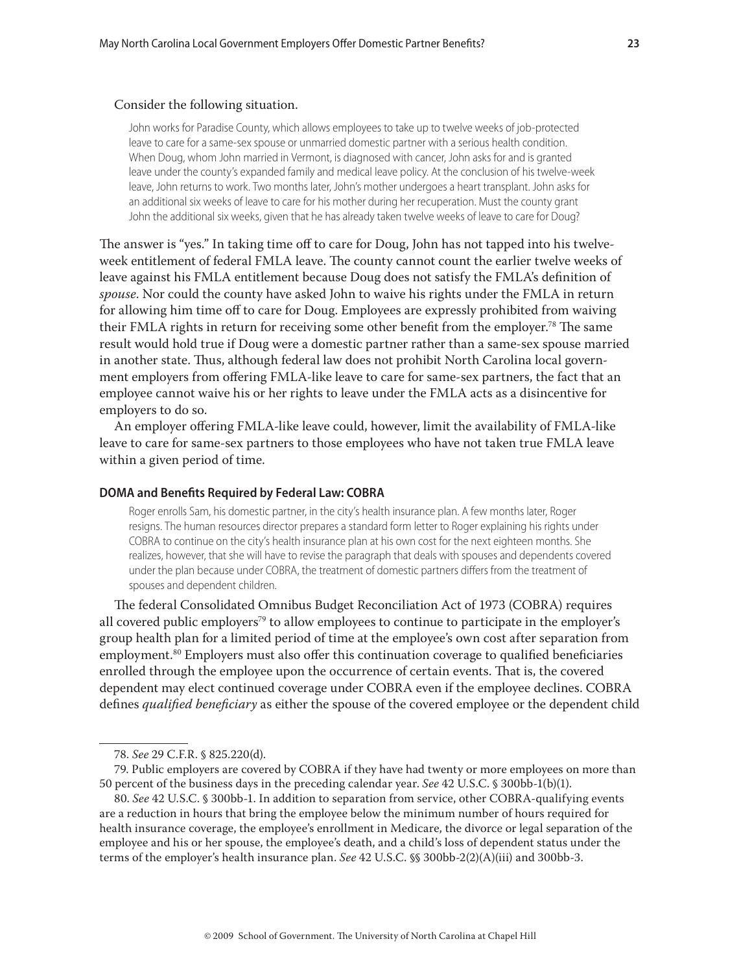#### Consider the following situation.

John works for Paradise County, which allows employees to take up to twelve weeks of job-protected leave to care for a same-sex spouse or unmarried domestic partner with a serious health condition. When Doug, whom John married in Vermont, is diagnosed with cancer, John asks for and is granted leave under the county's expanded family and medical leave policy. At the conclusion of his twelve-week leave, John returns to work. Two months later, John's mother undergoes a heart transplant. John asks for an additional six weeks of leave to care for his mother during her recuperation. Must the county grant John the additional six weeks, given that he has already taken twelve weeks of leave to care for Doug?

The answer is "yes." In taking time off to care for Doug, John has not tapped into his twelveweek entitlement of federal FMLA leave. The county cannot count the earlier twelve weeks of leave against his FMLA entitlement because Doug does not satisfy the FMLA's definition of *spouse*. Nor could the county have asked John to waive his rights under the FMLA in return for allowing him time off to care for Doug. Employees are expressly prohibited from waiving their FMLA rights in return for receiving some other benefit from the employer.<sup>78</sup> The same result would hold true if Doug were a domestic partner rather than a same-sex spouse married in another state. Thus, although federal law does not prohibit North Carolina local government employers from offering FMLA-like leave to care for same-sex partners, the fact that an employee cannot waive his or her rights to leave under the FMLA acts as a disincentive for employers to do so.

An employer offering FMLA-like leave could, however, limit the availability of FMLA-like leave to care for same-sex partners to those employees who have not taken true FMLA leave within a given period of time.

#### **DOMA and Benefits Required by Federal Law: COBRA**

Roger enrolls Sam, his domestic partner, in the city's health insurance plan. A few months later, Roger resigns. The human resources director prepares a standard form letter to Roger explaining his rights under COBRA to continue on the city's health insurance plan at his own cost for the next eighteen months. She realizes, however, that she will have to revise the paragraph that deals with spouses and dependents covered under the plan because under COBRA, the treatment of domestic partners differs from the treatment of spouses and dependent children.

The federal Consolidated Omnibus Budget Reconciliation Act of 1973 (COBRA) requires all covered public employers<sup>79</sup> to allow employees to continue to participate in the employer's group health plan for a limited period of time at the employee's own cost after separation from employment.<sup>80</sup> Employers must also offer this continuation coverage to qualified beneficiaries enrolled through the employee upon the occurrence of certain events. That is, the covered dependent may elect continued coverage under COBRA even if the employee declines. COBRA defines *qualified beneficiary* as either the spouse of the covered employee or the dependent child

79. Public employers are covered by COBRA if they have had twenty or more employees on more than 50 percent of the business days in the preceding calendar year. *See* 42 U.S.C. § 300bb-1(b)(1).

80. *See* 42 U.S.C. § 300bb-1. In addition to separation from service, other COBRA-qualifying events are a reduction in hours that bring the employee below the minimum number of hours required for health insurance coverage, the employee's enrollment in Medicare, the divorce or legal separation of the employee and his or her spouse, the employee's death, and a child's loss of dependent status under the terms of the employer's health insurance plan. *See* 42 U.S.C. §§ 300bb-2(2)(A)(iii) and 300bb-3.

<sup>78.</sup> *See* 29 C.F.R. § 825.220(d).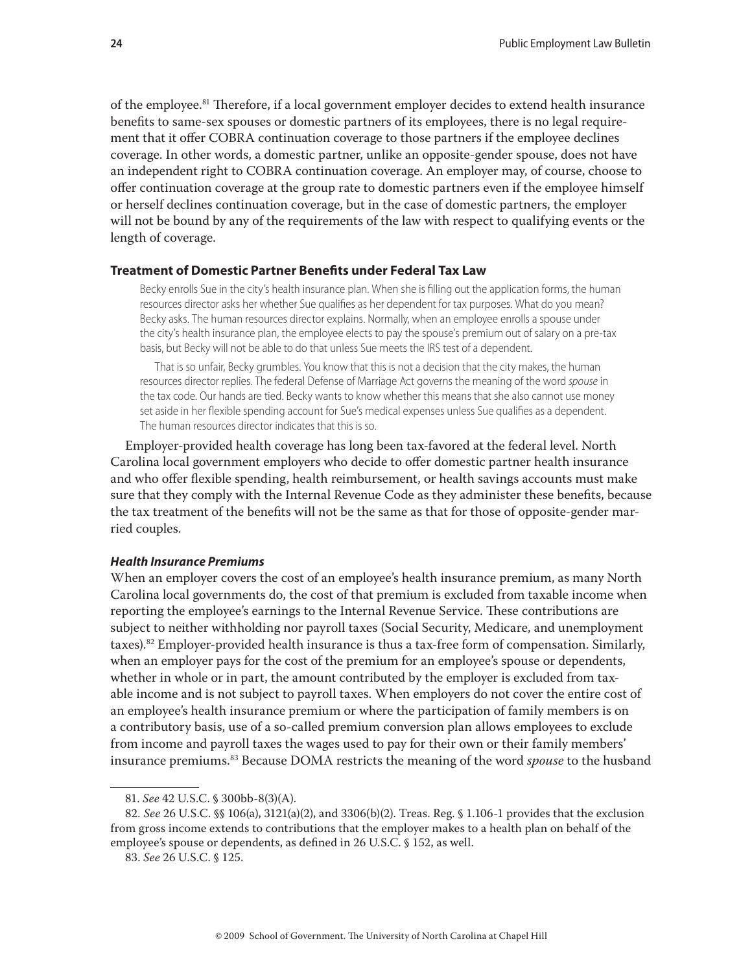of the employee.<sup>81</sup> Therefore, if a local government employer decides to extend health insurance benefits to same-sex spouses or domestic partners of its employees, there is no legal requirement that it offer COBRA continuation coverage to those partners if the employee declines coverage. In other words, a domestic partner, unlike an opposite-gender spouse, does not have an independent right to COBRA continuation coverage. An employer may, of course, choose to offer continuation coverage at the group rate to domestic partners even if the employee himself or herself declines continuation coverage, but in the case of domestic partners, the employer will not be bound by any of the requirements of the law with respect to qualifying events or the length of coverage.

#### **Treatment of Domestic Partner Benefits under Federal Tax Law**

Becky enrolls Sue in the city's health insurance plan. When she is filling out the application forms, the human resources director asks her whether Sue qualifies as her dependent for tax purposes. What do you mean? Becky asks. The human resources director explains. Normally, when an employee enrolls a spouse under the city's health insurance plan, the employee elects to pay the spouse's premium out of salary on a pre-tax basis, but Becky will not be able to do that unless Sue meets the IRS test of a dependent.

That is so unfair, Becky grumbles. You know that this is not a decision that the city makes, the human resources director replies. The federal Defense of Marriage Act governs the meaning of the word spouse in the tax code. Our hands are tied. Becky wants to know whether this means that she also cannot use money set aside in her flexible spending account for Sue's medical expenses unless Sue qualifies as a dependent. The human resources director indicates that this is so.

Employer-provided health coverage has long been tax-favored at the federal level. North Carolina local government employers who decide to offer domestic partner health insurance and who offer flexible spending, health reimbursement, or health savings accounts must make sure that they comply with the Internal Revenue Code as they administer these benefits, because the tax treatment of the benefits will not be the same as that for those of opposite-gender married couples.

#### *Health Insurance Premiums*

When an employer covers the cost of an employee's health insurance premium, as many North Carolina local governments do, the cost of that premium is excluded from taxable income when reporting the employee's earnings to the Internal Revenue Service. These contributions are subject to neither withholding nor payroll taxes (Social Security, Medicare, and unemployment taxes).82 Employer-provided health insurance is thus a tax-free form of compensation. Similarly, when an employer pays for the cost of the premium for an employee's spouse or dependents, whether in whole or in part, the amount contributed by the employer is excluded from taxable income and is not subject to payroll taxes. When employers do not cover the entire cost of an employee's health insurance premium or where the participation of family members is on a contributory basis, use of a so-called premium conversion plan allows employees to exclude from income and payroll taxes the wages used to pay for their own or their family members' insurance premiums.83 Because DOMA restricts the meaning of the word *spouse* to the husband

<sup>81.</sup> *See* 42 U.S.C. § 300bb-8(3)(A).

<sup>82</sup>*. See* 26 U.S.C. §§ 106(a), 3121(a)(2), and 3306(b)(2). Treas. Reg. § 1.106-1 provides that the exclusion from gross income extends to contributions that the employer makes to a health plan on behalf of the employee's spouse or dependents, as defined in 26 U.S.C. § 152, as well.

<sup>83.</sup> *See* 26 U.S.C. § 125.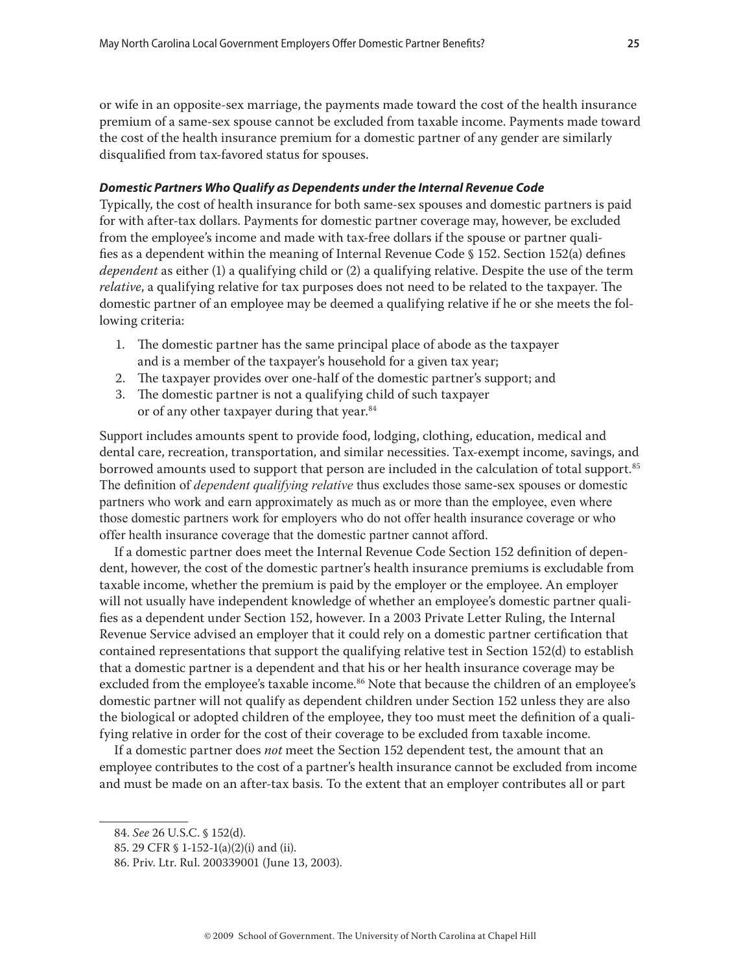or wife in an opposite-sex marriage, the payments made toward the cost of the health insurance premium of a same-sex spouse cannot be excluded from taxable income. Payments made toward the cost of the health insurance premium for a domestic partner of any gender are similarly disqualified from tax-favored status for spouses.

#### *Domestic Partners Who Qualify as Dependents under the Internal Revenue Code*

Typically, the cost of health insurance for both same-sex spouses and domestic partners is paid for with after-tax dollars. Payments for domestic partner coverage may, however, be excluded from the employee's income and made with tax-free dollars if the spouse or partner qualifies as a dependent within the meaning of Internal Revenue Code  $\S$  152. Section 152(a) defines *dependent* as either (1) a qualifying child or (2) a qualifying relative. Despite the use of the term *relative*, a qualifying relative for tax purposes does not need to be related to the taxpayer. The domestic partner of an employee may be deemed a qualifying relative if he or she meets the following criteria:

- 1. The domestic partner has the same principal place of abode as the taxpayer and is a member of the taxpayer's household for a given tax year;
- 2. The taxpayer provides over one-half of the domestic partner's support; and
- 3. The domestic partner is not a qualifying child of such taxpayer or of any other taxpayer during that year.<sup>84</sup>

Support includes amounts spent to provide food, lodging, clothing, education, medical and dental care, recreation, transportation, and similar necessities. Tax-exempt income, savings, and borrowed amounts used to support that person are included in the calculation of total support.<sup>85</sup> The definition of *dependent qualifying relative* thus excludes those same-sex spouses or domestic partners who work and earn approximately as much as or more than the employee, even where those domestic partners work for employers who do not offer health insurance coverage or who offer health insurance coverage that the domestic partner cannot afford.

If a domestic partner does meet the Internal Revenue Code Section 152 definition of dependent, however, the cost of the domestic partner's health insurance premiums is excludable from taxable income, whether the premium is paid by the employer or the employee. An employer will not usually have independent knowledge of whether an employee's domestic partner qualifies as a dependent under Section 152, however. In a 2003 Private Letter Ruling, the Internal Revenue Service advised an employer that it could rely on a domestic partner certification that contained representations that support the qualifying relative test in Section 152(d) to establish that a domestic partner is a dependent and that his or her health insurance coverage may be excluded from the employee's taxable income.<sup>86</sup> Note that because the children of an employee's domestic partner will not qualify as dependent children under Section 152 unless they are also the biological or adopted children of the employee, they too must meet the definition of a qualifying relative in order for the cost of their coverage to be excluded from taxable income.

If a domestic partner does *not* meet the Section 152 dependent test, the amount that an employee contributes to the cost of a partner's health insurance cannot be excluded from income and must be made on an after-tax basis. To the extent that an employer contributes all or part

<sup>84.</sup> *See* 26 U.S.C. § 152(d).

<sup>85. 29</sup> CFR § 1-152-1(a)(2)(i) and (ii).

<sup>86.</sup> Priv. Ltr. Rul. 200339001 (June 13, 2003).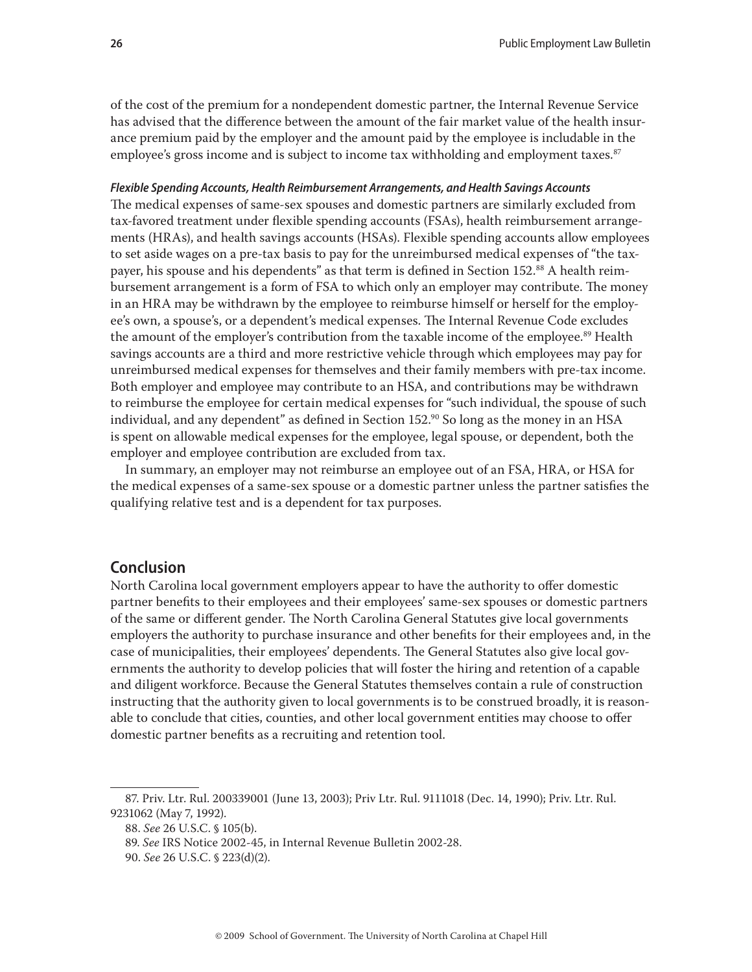of the cost of the premium for a nondependent domestic partner, the Internal Revenue Service has advised that the difference between the amount of the fair market value of the health insurance premium paid by the employer and the amount paid by the employee is includable in the employee's gross income and is subject to income tax withholding and employment taxes.<sup>87</sup>

#### *Flexible Spending Accounts, Health Reimbursement Arrangements, and Health Savings Accounts*

The medical expenses of same-sex spouses and domestic partners are similarly excluded from tax-favored treatment under flexible spending accounts (FSAs), health reimbursement arrangements (HRAs), and health savings accounts (HSAs). Flexible spending accounts allow employees to set aside wages on a pre-tax basis to pay for the unreimbursed medical expenses of "the taxpayer, his spouse and his dependents" as that term is defined in Section 152.<sup>88</sup> A health reimbursement arrangement is a form of FSA to which only an employer may contribute. The money in an HRA may be withdrawn by the employee to reimburse himself or herself for the employee's own, a spouse's, or a dependent's medical expenses. The Internal Revenue Code excludes the amount of the employer's contribution from the taxable income of the employee.<sup>89</sup> Health savings accounts are a third and more restrictive vehicle through which employees may pay for unreimbursed medical expenses for themselves and their family members with pre-tax income. Both employer and employee may contribute to an HSA, and contributions may be withdrawn to reimburse the employee for certain medical expenses for "such individual, the spouse of such individual, and any dependent" as defined in Section  $152.^{90}$  So long as the money in an HSA is spent on allowable medical expenses for the employee, legal spouse, or dependent, both the employer and employee contribution are excluded from tax.

In summary, an employer may not reimburse an employee out of an FSA, HRA, or HSA for the medical expenses of a same-sex spouse or a domestic partner unless the partner satisfies the qualifying relative test and is a dependent for tax purposes.

## **Conclusion**

North Carolina local government employers appear to have the authority to offer domestic partner benefits to their employees and their employees' same-sex spouses or domestic partners of the same or different gender. The North Carolina General Statutes give local governments employers the authority to purchase insurance and other benefits for their employees and, in the case of municipalities, their employees' dependents. The General Statutes also give local governments the authority to develop policies that will foster the hiring and retention of a capable and diligent workforce. Because the General Statutes themselves contain a rule of construction instructing that the authority given to local governments is to be construed broadly, it is reasonable to conclude that cities, counties, and other local government entities may choose to offer domestic partner benefits as a recruiting and retention tool.

<sup>87.</sup> Priv. Ltr. Rul. 200339001 (June 13, 2003); Priv Ltr. Rul. 9111018 (Dec. 14, 1990); Priv. Ltr. Rul. 9231062 (May 7, 1992).

<sup>88.</sup> *See* 26 U.S.C. § 105(b).

<sup>89.</sup> *See* IRS Notice 2002-45, in Internal Revenue Bulletin 2002-28.

<sup>90.</sup> *See* 26 U.S.C. § 223(d)(2).